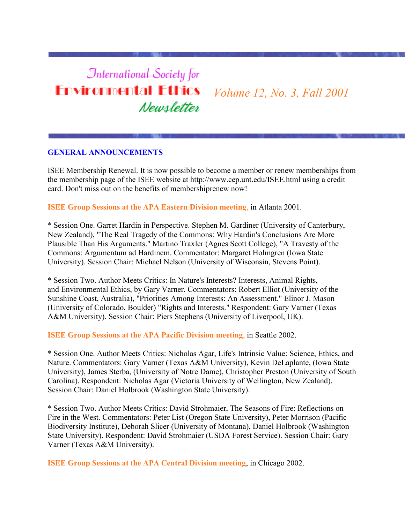# **International Society for Environmental Ethics** Newsletter

*Volume 12, No. 3, Fall 2001*

#### **GENERAL ANNOUNCEMENTS**

ISEE Membership Renewal. It is now possible to become a member or renew memberships from the membership page of the ISEE website at http://www.cep.unt.edu/ISEE.html using a credit card. Don't miss out on the benefits of membershiprenew now!

**ISEE Group Sessions at the APA Eastern Division meeting**, in Atlanta 2001.

\* Session One. Garret Hardin in Perspective. Stephen M. Gardiner (University of Canterbury, New Zealand), "The Real Tragedy of the Commons: Why Hardin's Conclusions Are More Plausible Than His Arguments." Martino Traxler (Agnes Scott College), "A Travesty of the Commons: Argumentum ad Hardinem. Commentator: Margaret Holmgren (Iowa State University). Session Chair: Michael Nelson (University of Wisconsin, Stevens Point).

\* Session Two. Author Meets Critics: In Nature's Interests? Interests, Animal Rights, and Environmental Ethics, by Gary Varner. Commentators: Robert Elliot (University of the Sunshine Coast, Australia), "Priorities Among Interests: An Assessment." Elinor J. Mason (University of Colorado, Boulder) "Rights and Interests." Respondent: Gary Varner (Texas A&M University). Session Chair: Piers Stephens (University of Liverpool, UK).

**ISEE Group Sessions at the APA Pacific Division meeting**, in Seattle 2002.

\* Session One. Author Meets Critics: Nicholas Agar, Life's Intrinsic Value: Science, Ethics, and Nature. Commentators: Gary Varner (Texas A&M University), Kevin DeLaplante, (Iowa State University), James Sterba, (University of Notre Dame), Christopher Preston (University of South Carolina). Respondent: Nicholas Agar (Victoria University of Wellington, New Zealand). Session Chair: Daniel Holbrook (Washington State University).

\* Session Two. Author Meets Critics: David Strohmaier, The Seasons of Fire: Reflections on Fire in the West. Commentators: Peter List (Oregon State University), Peter Morrison (Pacific Biodiversity Institute), Deborah Slicer (University of Montana), Daniel Holbrook (Washington State University). Respondent: David Strohmaier (USDA Forest Service). Session Chair: Gary Varner (Texas A&M University).

**ISEE Group Sessions at the APA Central Division meeting**, in Chicago 2002.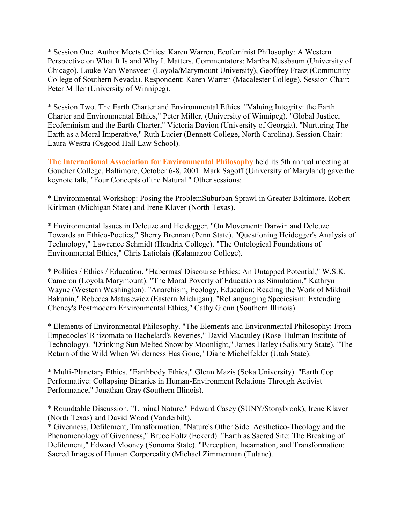\* Session One. Author Meets Critics: Karen Warren, Ecofeminist Philosophy: A Western Perspective on What It Is and Why It Matters. Commentators: Martha Nussbaum (University of Chicago), Louke Van Wensveen (Loyola/Marymount University), Geoffrey Frasz (Community College of Southern Nevada). Respondent: Karen Warren (Macalester College). Session Chair: Peter Miller (University of Winnipeg).

\* Session Two. The Earth Charter and Environmental Ethics. "Valuing Integrity: the Earth Charter and Environmental Ethics," Peter Miller, (University of Winnipeg). "Global Justice, Ecofeminism and the Earth Charter," Victoria Davion (University of Georgia). "Nurturing The Earth as a Moral Imperative," Ruth Lucier (Bennett College, North Carolina). Session Chair: Laura Westra (Osgood Hall Law School).

**The International Association for Environmental Philosophy** held its 5th annual meeting at Goucher College, Baltimore, October 6-8, 2001. Mark Sagoff (University of Maryland) gave the keynote talk, "Four Concepts of the Natural." Other sessions:

\* Environmental Workshop: Posing the ProblemSuburban Sprawl in Greater Baltimore. Robert Kirkman (Michigan State) and Irene Klaver (North Texas).

\* Environmental Issues in Deleuze and Heidegger. "On Movement: Darwin and Deleuze Towards an Ethico-Poetics," Sherry Brennan (Penn State). "Questioning Heidegger's Analysis of Technology," Lawrence Schmidt (Hendrix College). "The Ontological Foundations of Environmental Ethics," Chris Latiolais (Kalamazoo College).

\* Politics / Ethics / Education. "Habermas' Discourse Ethics: An Untapped Potential," W.S.K. Cameron (Loyola Marymount). "The Moral Poverty of Education as Simulation," Kathryn Wayne (Western Washington). "Anarchism, Ecology, Education: Reading the Work of Mikhail Bakunin," Rebecca Matusewicz (Eastern Michigan). "ReLanguaging Speciesism: Extending Cheney's Postmodern Environmental Ethics," Cathy Glenn (Southern Illinois).

\* Elements of Environmental Philosophy. "The Elements and Environmental Philosophy: From Empedocles' Rhizomata to Bachelard's Reveries," David Macauley (Rose-Hulman Institute of Technology). "Drinking Sun Melted Snow by Moonlight," James Hatley (Salisbury State). "The Return of the Wild When Wilderness Has Gone," Diane Michelfelder (Utah State).

\* Multi-Planetary Ethics. "Earthbody Ethics," Glenn Mazis (Soka University). "Earth Cop Performative: Collapsing Binaries in Human-Environment Relations Through Activist Performance," Jonathan Gray (Southern Illinois).

\* Roundtable Discussion. "Liminal Nature." Edward Casey (SUNY/Stonybrook), Irene Klaver (North Texas) and David Wood (Vanderbilt).

\* Givenness, Defilement, Transformation. "Nature's Other Side: Aesthetico-Theology and the Phenomenology of Givenness," Bruce Foltz (Eckerd). "Earth as Sacred Site: The Breaking of Defilement," Edward Mooney (Sonoma State). "Perception, Incarnation, and Transformation: Sacred Images of Human Corporeality (Michael Zimmerman (Tulane).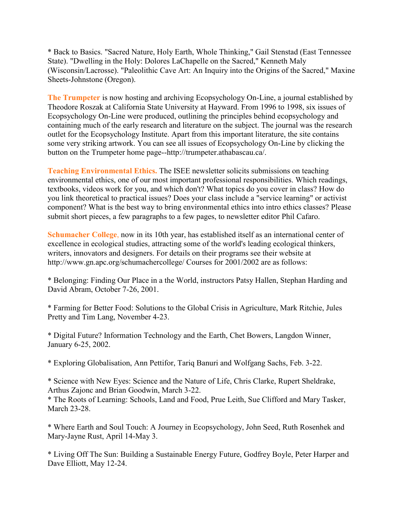\* Back to Basics. "Sacred Nature, Holy Earth, Whole Thinking," Gail Stenstad (East Tennessee State). "Dwelling in the Holy: Dolores LaChapelle on the Sacred," Kenneth Maly (Wisconsin/Lacrosse). "Paleolithic Cave Art: An Inquiry into the Origins of the Sacred," Maxine Sheets-Johnstone (Oregon).

**The Trumpeter** is now hosting and archiving Ecopsychology On-Line, a journal established by Theodore Roszak at California State University at Hayward. From 1996 to 1998, six issues of Ecopsychology On-Line were produced, outlining the principles behind ecopsychology and containing much of the early research and literature on the subject. The journal was the research outlet for the Ecopsychology Institute. Apart from this important literature, the site contains some very striking artwork. You can see all issues of Ecopsychology On-Line by clicking the button on the Trumpeter home page--http://trumpeter.athabascau.ca/.

**Teaching Environmental Ethics.** The ISEE newsletter solicits submissions on teaching environmental ethics, one of our most important professional responsibilities. Which readings, textbooks, videos work for you, and which don't? What topics do you cover in class? How do you link theoretical to practical issues? Does your class include a "service learning" or activist component? What is the best way to bring environmental ethics into intro ethics classes? Please submit short pieces, a few paragraphs to a few pages, to newsletter editor Phil Cafaro.

**Schumacher College**, now in its 10th year, has established itself as an international center of excellence in ecological studies, attracting some of the world's leading ecological thinkers, writers, innovators and designers. For details on their programs see their website at http://www.gn.apc.org/schumachercollege/ Courses for 2001/2002 are as follows:

\* Belonging: Finding Our Place in a the World, instructors Patsy Hallen, Stephan Harding and David Abram, October 7-26, 2001.

\* Farming for Better Food: Solutions to the Global Crisis in Agriculture, Mark Ritchie, Jules Pretty and Tim Lang, November 4-23.

\* Digital Future? Information Technology and the Earth, Chet Bowers, Langdon Winner, January 6-25, 2002.

\* Exploring Globalisation, Ann Pettifor, Tariq Banuri and Wolfgang Sachs, Feb. 3-22.

\* Science with New Eyes: Science and the Nature of Life, Chris Clarke, Rupert Sheldrake, Arthus Zajonc and Brian Goodwin, March 3-22.

\* The Roots of Learning: Schools, Land and Food, Prue Leith, Sue Clifford and Mary Tasker, March 23-28.

\* Where Earth and Soul Touch: A Journey in Ecopsychology, John Seed, Ruth Rosenhek and Mary-Jayne Rust, April 14-May 3.

\* Living Off The Sun: Building a Sustainable Energy Future, Godfrey Boyle, Peter Harper and Dave Elliott, May 12-24.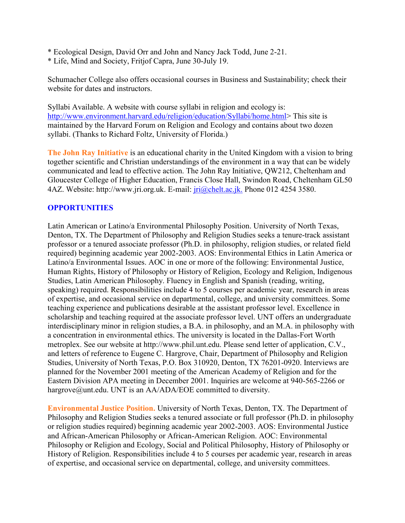- \* Ecological Design, David Orr and John and Nancy Jack Todd, June 2-21.
- \* Life, Mind and Society, Fritjof Capra, June 30-July 19.

Schumacher College also offers occasional courses in Business and Sustainability; check their website for dates and instructors.

Syllabi Available. A website with course syllabi in religion and ecology is: [http://www.environment.harvard.edu/religion/education/Syllabi/home.html>](http://www.environment.harvard.edu/religion/education/Syllabi/home.html)This site is maintained by the Harvard Forum on Religion and Ecology and contains about two dozen syllabi. (Thanks to Richard Foltz, University of Florida.)

**The John Ray Initiative** is an educational charity in the United Kingdom with a vision to bring together scientific and Christian understandings of the environment in a way that can be widely communicated and lead to effective action. The John Ray Initiative, QW212, Cheltenham and Gloucester College of Higher Education, Francis Close Hall, Swindon Road, Cheltenham GL50 4AZ. Website: http://www.jri.org.uk. E-mail: [jri@chelt.ac.jk.](mailto:jri@chelt.ac.jk.) Phone 012 4254 3580.

#### **OPPORTUNITIES**

Latin American or Latino/a Environmental Philosophy Position. University of North Texas, Denton, TX. The Department of Philosophy and Religion Studies seeks a tenure-track assistant professor or a tenured associate professor (Ph.D. in philosophy, religion studies, or related field required) beginning academic year 2002-2003. AOS: Environmental Ethics in Latin America or Latino/a Environmental Issues. AOC in one or more of the following: Environmental Justice, Human Rights, History of Philosophy or History of Religion, Ecology and Religion, Indigenous Studies, Latin American Philosophy. Fluency in English and Spanish (reading, writing, speaking) required. Responsibilities include 4 to 5 courses per academic year, research in areas of expertise, and occasional service on departmental, college, and university committees. Some teaching experience and publications desirable at the assistant professor level. Excellence in scholarship and teaching required at the associate professor level. UNT offers an undergraduate interdisciplinary minor in religion studies, a B.A. in philosophy, and an M.A. in philosophy with a concentration in environmental ethics. The university is located in the Dallas-Fort Worth metroplex. See our website at http://www.phil.unt.edu. Please send letter of application, C.V., and letters of reference to Eugene C. Hargrove, Chair, Department of Philosophy and Religion Studies, University of North Texas, P.O. Box 310920, Denton, TX 76201-0920. Interviews are planned for the November 2001 meeting of the American Academy of Religion and for the Eastern Division APA meeting in December 2001. Inquiries are welcome at 940-565-2266 or hargrove@unt.edu. UNT is an AA/ADA/EOE committed to diversity.

**Environmental Justice Position.** University of North Texas, Denton, TX. The Department of Philosophy and Religion Studies seeks a tenured associate or full professor (Ph.D. in philosophy or religion studies required) beginning academic year 2002-2003. AOS: Environmental Justice and African-American Philosophy or African-American Religion. AOC: Environmental Philosophy or Religion and Ecology, Social and Political Philosophy, History of Philosophy or History of Religion. Responsibilities include 4 to 5 courses per academic year, research in areas of expertise, and occasional service on departmental, college, and university committees.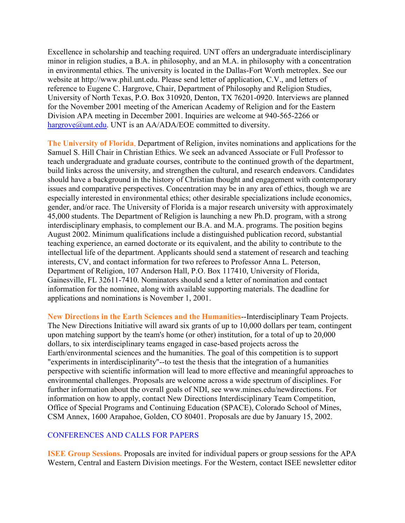Excellence in scholarship and teaching required. UNT offers an undergraduate interdisciplinary minor in religion studies, a B.A. in philosophy, and an M.A. in philosophy with a concentration in environmental ethics. The university is located in the Dallas-Fort Worth metroplex. See our website at http://www.phil.unt.edu. Please send letter of application, C.V., and letters of reference to Eugene C. Hargrove, Chair, Department of Philosophy and Religion Studies, University of North Texas, P.O. Box 310920, Denton, TX 76201-0920. Interviews are planned for the November 2001 meeting of the American Academy of Religion and for the Eastern Division APA meeting in December 2001. Inquiries are welcome at 940-565-2266 or [hargrove@unt.edu.](mailto:hargrove@unt.edu) UNT is an AA/ADA/EOE committed to diversity.

**The University of Florida**, Department of Religion, invites nominations and applications for the Samuel S. Hill Chair in Christian Ethics. We seek an advanced Associate or Full Professor to teach undergraduate and graduate courses, contribute to the continued growth of the department, build links across the university, and strengthen the cultural, and research endeavors. Candidates should have a background in the history of Christian thought and engagement with contemporary issues and comparative perspectives. Concentration may be in any area of ethics, though we are especially interested in environmental ethics; other desirable specializations include economics, gender, and/or race. The University of Florida is a major research university with approximately 45,000 students. The Department of Religion is launching a new Ph.D. program, with a strong interdisciplinary emphasis, to complement our B.A. and M.A. programs. The position begins August 2002. Minimum qualifications include a distinguished publication record, substantial teaching experience, an earned doctorate or its equivalent, and the ability to contribute to the intellectual life of the department. Applicants should send a statement of research and teaching interests, CV, and contact information for two referees to Professor Anna L. Peterson, Department of Religion, 107 Anderson Hall, P.O. Box 117410, University of Florida, Gainesville, FL 32611-7410. Nominators should send a letter of nomination and contact information for the nominee, along with available supporting materials. The deadline for applications and nominations is November 1, 2001.

**New Directions in the Earth Sciences and the Humanities**--Interdisciplinary Team Projects. The New Directions Initiative will award six grants of up to 10,000 dollars per team, contingent upon matching support by the team's home (or other) institution, for a total of up to 20,000 dollars, to six interdisciplinary teams engaged in case-based projects across the Earth/environmental sciences and the humanities. The goal of this competition is to support "experiments in interdisciplinarity"--to test the thesis that the integration of a humanities perspective with scientific information will lead to more effective and meaningful approaches to environmental challenges. Proposals are welcome across a wide spectrum of disciplines. For further information about the overall goals of NDI, see www.mines.edu/newdirections. For information on how to apply, contact New Directions Interdisciplinary Team Competition, Office of Special Programs and Continuing Education (SPACE), Colorado School of Mines, CSM Annex, 1600 Arapahoe, Golden, CO 80401. Proposals are due by January 15, 2002.

#### CONFERENCES AND CALLS FOR PAPERS

**ISEE Group Sessions.** Proposals are invited for individual papers or group sessions for the APA Western, Central and Eastern Division meetings. For the Western, contact ISEE newsletter editor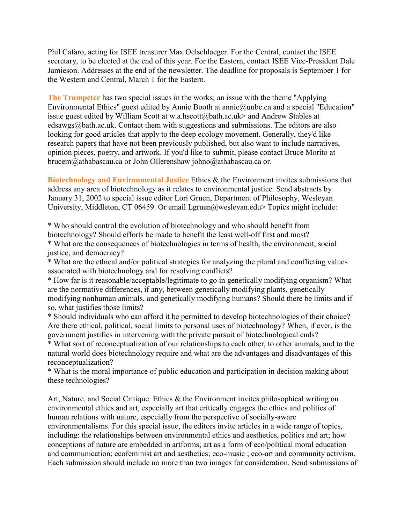Phil Cafaro, acting for ISEE treasurer Max Oelschlaeger. For the Central, contact the ISEE secretary, to be elected at the end of this year. For the Eastern, contact ISEE Vice-President Dale Jamieson. Addresses at the end of the newsletter. The deadline for proposals is September 1 for the Western and Central, March 1 for the Eastern.

**The Trumpeter** has two special issues in the works; an issue with the theme "Applying Environmental Ethics" guest edited by Annie Booth at annie@unbc.ca and a special "Education" issue guest edited by William Scott at w.a.hscott@bath.ac.uk> and Andrew Stables at edsawgs@bath.ac.uk. Contact them with suggestions and submissions. The editors are also looking for good articles that apply to the deep ecology movement. Generally, they'd like research papers that have not been previously published, but also want to include narratives, opinion pieces, poetry, and artwork. If you'd like to submit, please contact Bruce Morito at brucem@athabascau.ca or John Ollerenshaw johno@athabascau.ca or.

**Biotechnology and Environmental Justice** Ethics & the Environment invites submissions that address any area of biotechnology as it relates to environmental justice. Send abstracts by January 31, 2002 to special issue editor Lori Gruen, Department of Philosophy, Wesleyan University, Middleton, CT 06459. Or email Lgruen@wesleyan.edu> Topics might include:

\* Who should control the evolution of biotechnology and who should benefit from biotechnology? Should efforts be made to benefit the least well-off first and most? \* What are the consequences of biotechnologies in terms of health, the environment, social justice, and democracy?

\* What are the ethical and/or political strategies for analyzing the plural and conflicting values associated with biotechnology and for resolving conflicts?

\* How far is it reasonable/acceptable/legitimate to go in genetically modifying organism? What are the normative differences, if any, between genetically modifying plants, genetically modifying nonhuman animals, and genetically modifying humans? Should there be limits and if so, what justifies those limits?

\* Should individuals who can afford it be permitted to develop biotechnologies of their choice? Are there ethical, political, social limits to personal uses of biotechnology? When, if ever, is the government justifies in intervening with the private pursuit of biotechnological ends?

\* What sort of reconceptualization of our relationships to each other, to other animals, and to the natural world does biotechnology require and what are the advantages and disadvantages of this reconceptualization?

\* What is the moral importance of public education and participation in decision making about these technologies?

Art, Nature, and Social Critique. Ethics & the Environment invites philosophical writing on environmental ethics and art, especially art that critically engages the ethics and politics of human relations with nature, especially from the perspective of socially-aware environmentalisms. For this special issue, the editors invite articles in a wide range of topics, including: the relationships between environmental ethics and aesthetics, politics and art; how conceptions of nature are embedded in artforms; art as a form of eco/political moral education and communication; ecofeminist art and aesthetics; eco-music ; eco-art and community activism. Each submission should include no more than two images for consideration. Send submissions of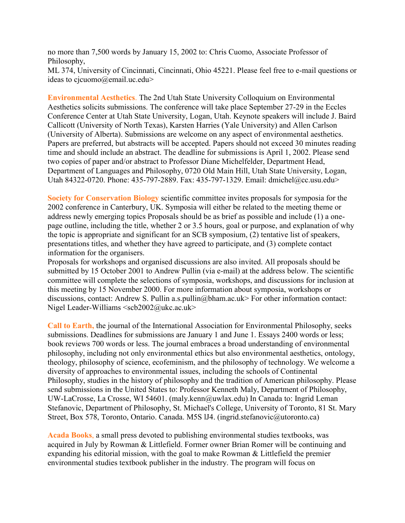no more than 7,500 words by January 15, 2002 to: Chris Cuomo, Associate Professor of Philosophy,

ML 374, University of Cincinnati, Cincinnati, Ohio 45221. Please feel free to e-mail questions or ideas to cjcuomo@email.uc.edu>

**Environmental Aesthetics**. The 2nd Utah State University Colloquium on Environmental Aesthetics solicits submissions. The conference will take place September 27-29 in the Eccles Conference Center at Utah State University, Logan, Utah. Keynote speakers will include J. Baird Callicott (University of North Texas), Karsten Harries (Yale University) and Allen Carlson (University of Alberta). Submissions are welcome on any aspect of environmental aesthetics. Papers are preferred, but abstracts will be accepted. Papers should not exceed 30 minutes reading time and should include an abstract. The deadline for submissions is April 1, 2002. Please send two copies of paper and/or abstract to Professor Diane Michelfelder, Department Head, Department of Languages and Philosophy, 0720 Old Main Hill, Utah State University, Logan, Utah 84322-0720. Phone: 435-797-2889. Fax: 435-797-1329. Email: dmichel@cc.usu.edu>

**Society for Conservation Biology** scientific committee invites proposals for symposia for the 2002 conference in Canterbury, UK. Symposia will either be related to the meeting theme or address newly emerging topics Proposals should be as brief as possible and include (1) a onepage outline, including the title, whether 2 or 3.5 hours, goal or purpose, and explanation of why the topic is appropriate and significant for an SCB symposium, (2) tentative list of speakers, presentations titles, and whether they have agreed to participate, and (3) complete contact information for the organisers.

Proposals for workshops and organised discussions are also invited. All proposals should be submitted by 15 October 2001 to Andrew Pullin (via e-mail) at the address below. The scientific committee will complete the selections of symposia, workshops, and discussions for inclusion at this meeting by 15 November 2000. For more information about symposia, workshops or discussions, contact: Andrew S. Pullin a.s. pullin@bham.ac.uk> For other information contact: Nigel Leader-Williams <scb2002@ukc.ac.uk>

**Call to Earth,** the journal of the International Association for Environmental Philosophy, seeks submissions. Deadlines for submissions are January 1 and June 1. Essays 2400 words or less; book reviews 700 words or less. The journal embraces a broad understanding of environmental philosophy, including not only environmental ethics but also environmental aesthetics, ontology, theology, philosophy of science, ecofeminism, and the philosophy of technology. We welcome a diversity of approaches to environmental issues, including the schools of Continental Philosophy, studies in the history of philosophy and the tradition of American philosophy. Please send submissions in the United States to: Professor Kenneth Maly, Department of Philosophy, UW-LaCrosse, La Crosse, WI 54601. (maly.kenn@uwlax.edu) In Canada to: Ingrid Leman Stefanovic, Department of Philosophy, St. Michael's College, University of Toronto, 81 St. Mary Street, Box 578, Toronto, Ontario. Canada. M5S lJ4. (ingrid.stefanovic@utoronto.ca)

**Acada Books**, a small press devoted to publishing environmental studies textbooks, was acquired in July by Rowman & Littlefield. Former owner Brian Romer will be continuing and expanding his editorial mission, with the goal to make Rowman & Littlefield the premier environmental studies textbook publisher in the industry. The program will focus on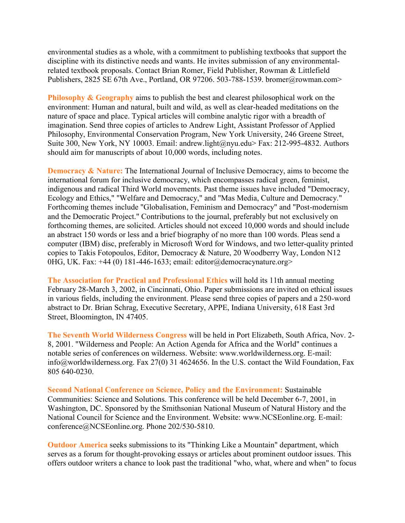environmental studies as a whole, with a commitment to publishing textbooks that support the discipline with its distinctive needs and wants. He invites submission of any environmentalrelated textbook proposals. Contact Brian Romer, Field Publisher, Rowman & Littlefield Publishers, 2825 SE 67th Ave., Portland, OR 97206. 503-788-1539. bromer@rowman.com>

**Philosophy & Geography** aims to publish the best and clearest philosophical work on the environment: Human and natural, built and wild, as well as clear-headed meditations on the nature of space and place. Typical articles will combine analytic rigor with a breadth of imagination. Send three copies of articles to Andrew Light, Assistant Professor of Applied Philosophy, Environmental Conservation Program, New York University, 246 Greene Street, Suite 300, New York, NY 10003. Email: andrew.light@nyu.edu> Fax: 212-995-4832. Authors should aim for manuscripts of about 10,000 words, including notes.

**Democracy & Nature:** The International Journal of Inclusive Democracy, aims to become the international forum for inclusive democracy, which encompasses radical green, feminist, indigenous and radical Third World movements. Past theme issues have included "Democracy, Ecology and Ethics," "Welfare and Democracy," and "Mas Media, Culture and Democracy." Forthcoming themes include "Globalisation, Feminism and Democracy" and "Post-modernism and the Democratic Project." Contributions to the journal, preferably but not exclusively on forthcoming themes, are solicited. Articles should not exceed 10,000 words and should include an abstract 150 words or less and a brief biography of no more than 100 words. Pleas send a computer (IBM) disc, preferably in Microsoft Word for Windows, and two letter-quality printed copies to Takis Fotopoulos, Editor, Democracy & Nature, 20 Woodberry Way, London N12 0HG, UK. Fax: +44 (0) 181-446-1633; email: editor@democracynature.org>

**The Association for Practical and Professional Ethics** will hold its 11th annual meeting February 28-March 3, 2002, in Cincinnati, Ohio. Paper submissions are invited on ethical issues in various fields, including the environment. Please send three copies of papers and a 250-word abstract to Dr. Brian Schrag, Executive Secretary, APPE, Indiana University, 618 East 3rd Street, Bloomington, IN 47405.

**The Seventh World Wilderness Congress** will be held in Port Elizabeth, South Africa, Nov. 2- 8, 2001. "Wilderness and People: An Action Agenda for Africa and the World" continues a notable series of conferences on wilderness. Website: www.worldwilderness.org. E-mail: info@worldwilderness.org. Fax 27(0) 31 4624656. In the U.S. contact the Wild Foundation, Fax 805 640-0230.

**Second National Conference on Science, Policy and the Environment:** Sustainable Communities: Science and Solutions. This conference will be held December 6-7, 2001, in Washington, DC. Sponsored by the Smithsonian National Museum of Natural History and the National Council for Science and the Environment. Website: www.NCSEonline.org. E-mail: conference@NCSEonline.org. Phone 202/530-5810.

**Outdoor America** seeks submissions to its "Thinking Like a Mountain" department, which serves as a forum for thought-provoking essays or articles about prominent outdoor issues. This offers outdoor writers a chance to look past the traditional "who, what, where and when" to focus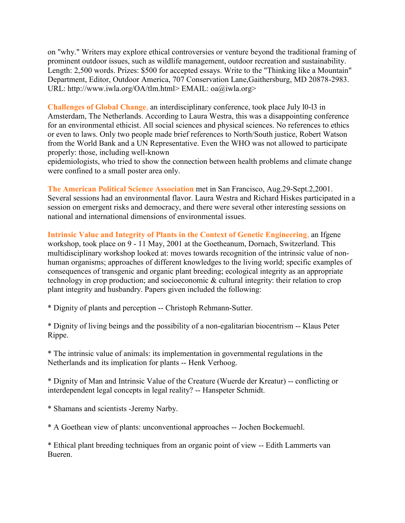on "why." Writers may explore ethical controversies or venture beyond the traditional framing of prominent outdoor issues, such as wildlife management, outdoor recreation and sustainability. Length: 2,500 words. Prizes: \$500 for accepted essays. Write to the "Thinking like a Mountain" Department, Editor, Outdoor America, 707 Conservation Lane,Gaithersburg, MD 20878-2983. URL: http://www.iwla.org/OA/tlm.html> EMAIL: oa@iwla.org>

**Challenges of Global Change**, an interdisciplinary conference, took place July l0-l3 in Amsterdam, The Netherlands. According to Laura Westra, this was a disappointing conference for an environmental ethicist. All social sciences and physical sciences. No references to ethics or even to laws. Only two people made brief references to North/South justice, Robert Watson from the World Bank and a UN Representative. Even the WHO was not allowed to participate properly: those, including well-known

epidemiologists, who tried to show the connection between health problems and climate change were confined to a small poster area only.

**The American Political Science Association** met in San Francisco, Aug.29-Sept.2,2001. Several sessions had an environmental flavor. Laura Westra and Richard Hiskes participated in a session on emergent risks and democracy, and there were several other interesting sessions on national and international dimensions of environmental issues.

**Intrinsic Value and Integrity of Plants in the Context of Genetic Engineering**, an Ifgene workshop, took place on 9 - 11 May, 2001 at the Goetheanum, Dornach, Switzerland. This multidisciplinary workshop looked at: moves towards recognition of the intrinsic value of nonhuman organisms; approaches of different knowledges to the living world; specific examples of consequences of transgenic and organic plant breeding; ecological integrity as an appropriate technology in crop production; and socioeconomic & cultural integrity: their relation to crop plant integrity and husbandry. Papers given included the following:

\* Dignity of plants and perception -- Christoph Rehmann-Sutter.

\* Dignity of living beings and the possibility of a non-egalitarian biocentrism -- Klaus Peter Rippe.

\* The intrinsic value of animals: its implementation in governmental regulations in the Netherlands and its implication for plants -- Henk Verhoog.

\* Dignity of Man and Intrinsic Value of the Creature (Wuerde der Kreatur) -- conflicting or interdependent legal concepts in legal reality? -- Hanspeter Schmidt.

\* Shamans and scientists -Jeremy Narby.

\* A Goethean view of plants: unconventional approaches -- Jochen Bockemuehl.

\* Ethical plant breeding techniques from an organic point of view -- Edith Lammerts van Bueren.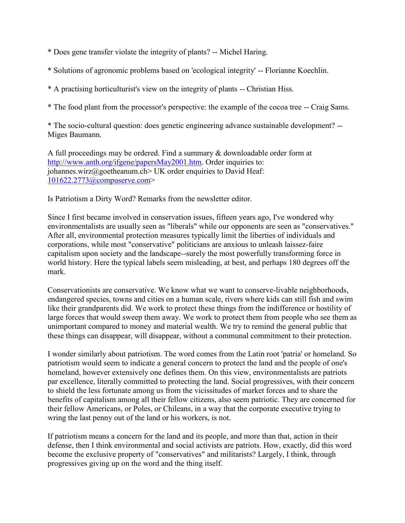- \* Does gene transfer violate the integrity of plants? -- Michel Haring.
- \* Solutions of agronomic problems based on 'ecological integrity' -- Florianne Koechlin.
- \* A practising horticulturist's view on the integrity of plants -- Christian Hiss.

\* The food plant from the processor's perspective: the example of the cocoa tree -- Craig Sams.

\* The socio-cultural question: does genetic engineering advance sustainable development? -- Miges Baumann.

A full proceedings may be ordered. Find a summary & downloadable order form at [http://www.anth.org/ifgene/papersMay2001.htm.](http://www.anth.org/ifgene/papersMay2001.htm) Order inquiries to: iohannes.wirz@goetheanum.ch> UK order enquiries to David Heaf: [101622.2773@compuserve.com>](mailto:101622.2773@compuserve.com)

Is Patriotism a Dirty Word? Remarks from the newsletter editor.

Since I first became involved in conservation issues, fifteen years ago, I've wondered why environmentalists are usually seen as "liberals" while our opponents are seen as "conservatives." After all, environmental protection measures typically limit the liberties of individuals and corporations, while most "conservative" politicians are anxious to unleash laissez-faire capitalism upon society and the landscape--surely the most powerfully transforming force in world history. Here the typical labels seem misleading, at best, and perhaps 180 degrees off the mark.

Conservationists are conservative. We know what we want to conserve-livable neighborhoods, endangered species, towns and cities on a human scale, rivers where kids can still fish and swim like their grandparents did. We work to protect these things from the indifference or hostility of large forces that would sweep them away. We work to protect them from people who see them as unimportant compared to money and material wealth. We try to remind the general public that these things can disappear, will disappear, without a communal commitment to their protection.

I wonder similarly about patriotism. The word comes from the Latin root 'patria' or homeland. So patriotism would seem to indicate a general concern to protect the land and the people of one's homeland, however extensively one defines them. On this view, environmentalists are patriots par excellence, literally committed to protecting the land. Social progressives, with their concern to shield the less fortunate among us from the vicissitudes of market forces and to share the benefits of capitalism among all their fellow citizens, also seem patriotic. They are concerned for their fellow Americans, or Poles, or Chileans, in a way that the corporate executive trying to wring the last penny out of the land or his workers, is not.

If patriotism means a concern for the land and its people, and more than that, action in their defense, then I think environmental and social activists are patriots. How, exactly, did this word become the exclusive property of "conservatives" and militarists? Largely, I think, through progressives giving up on the word and the thing itself.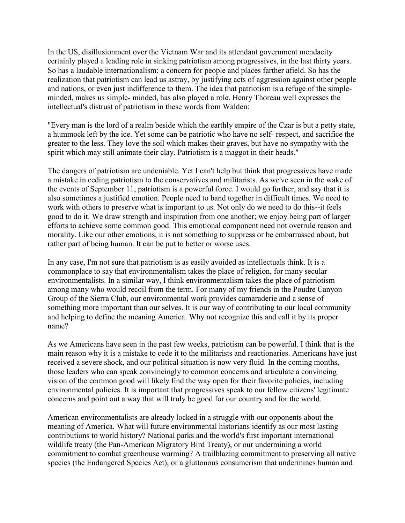In the US, disillusionment over the Vietnam War and its attendant government mendacity certainly played a leading role in sinking patriotism among progressives, in the last thirty years. So has a laudable internationalism: a concern for people and places farther afield. So has the realization that patriotism can lead us astray, by justifying acts of aggression against other people and nations, or even just indifference to them. The idea that patriotism is a refuge of the simpleminded, makes us simple- minded, has also played a role. Henry Thoreau well expresses the intellectual's distrust of patriotism in these words from Walden:

"Every man is the lord of a realm beside which the earthly empire of the Czar is but a petty state, a hummock left by the ice. Yet some can be patriotic who have no self- respect, and sacrifice the greater to the less. They love the soil which makes their graves, but have no sympathy with the spirit which may still animate their clay. Patriotism is a maggot in their heads."

The dangers of patriotism are undeniable. Yet I can't help but think that progressives have made a mistake in ceding patriotism to the conservatives and militarists. As we've seen in the wake of the events of September 11, patriotism is a powerful force. I would go further, and say that it is also sometimes a justified emotion. People need to band together in difficult times. We need to work with others to preserve what is important to us. Not only do we need to do this--it feels good to do it. We draw strength and inspiration from one another; we enjoy being part of larger efforts to achieve some common good. This emotional component need not overrule reason and morality. Like our other emotions, it is not something to suppress or be embarrassed about, but rather part of being human. It can be put to better or worse uses.

In any case, I'm not sure that patriotism is as easily avoided as intellectuals think. It is a commonplace to say that environmentalism takes the place of religion, for many secular environmentalists. In a similar way, I think environmentalism takes the place of patriotism among many who would recoil from the term. For many of my friends in the Poudre Canyon Group of the Sierra Club, our environmental work provides camaraderie and a sense of something more important than our selves. It is our way of contributing to our local community and helping to define the meaning America. Why not recognize this and call it by its proper name?

As we Americans have seen in the past few weeks, patriotism can be powerful. I think that is the main reason why it is a mistake to cede it to the militarists and reactionaries. Americans have just received a severe shock, and our political situation is now very fluid. In the coming months, those leaders who can speak convincingly to common concerns and articulate a convincing vision of the common good will likely find the way open for their favorite policies, including environmental policies. It is important that progressives speak to our fellow citizens' legitimate concerns and point out a way that will truly be good for our country and for the world.

American environmentalists are already locked in a struggle with our opponents about the meaning of America. What will future environmental historians identify as our most lasting contributions to world history? National parks and the world's first important international wildlife treaty (the Pan-American Migratory Bird Treaty), or our undermining a world commitment to combat greenhouse warming? A trailblazing commitment to preserving all native species (the Endangered Species Act), or a gluttonous consumerism that undermines human and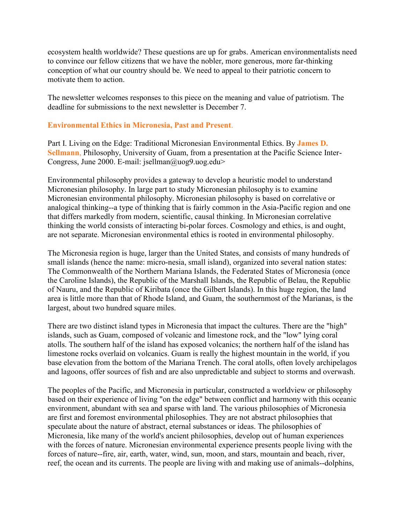ecosystem health worldwide? These questions are up for grabs. American environmentalists need to convince our fellow citizens that we have the nobler, more generous, more far-thinking conception of what our country should be. We need to appeal to their patriotic concern to motivate them to action.

The newsletter welcomes responses to this piece on the meaning and value of patriotism. The deadline for submissions to the next newsletter is December 7.

## **Environmental Ethics in Micronesia, Past and Present**.

Part I. Living on the Edge: Traditional Micronesian Environmental Ethics. By **James D. Sellmann**, Philosophy, University of Guam, from a presentation at the Pacific Science Inter-Congress, June 2000. E-mail: jsellman@uog9.uog.edu>

Environmental philosophy provides a gateway to develop a heuristic model to understand Micronesian philosophy. In large part to study Micronesian philosophy is to examine Micronesian environmental philosophy. Micronesian philosophy is based on correlative or analogical thinking--a type of thinking that is fairly common in the Asia-Pacific region and one that differs markedly from modern, scientific, causal thinking. In Micronesian correlative thinking the world consists of interacting bi-polar forces. Cosmology and ethics, is and ought, are not separate. Micronesian environmental ethics is rooted in environmental philosophy.

The Micronesia region is huge, larger than the United States, and consists of many hundreds of small islands (hence the name: micro-nesia, small island), organized into several nation states: The Commonwealth of the Northern Mariana Islands, the Federated States of Micronesia (once the Caroline Islands), the Republic of the Marshall Islands, the Republic of Belau, the Republic of Nauru, and the Republic of Kiribata (once the Gilbert Islands). In this huge region, the land area is little more than that of Rhode Island, and Guam, the southernmost of the Marianas, is the largest, about two hundred square miles.

There are two distinct island types in Micronesia that impact the cultures. There are the "high" islands, such as Guam, composed of volcanic and limestone rock, and the "low" lying coral atolls. The southern half of the island has exposed volcanics; the northern half of the island has limestone rocks overlaid on volcanics. Guam is really the highest mountain in the world, if you base elevation from the bottom of the Mariana Trench. The coral atolls, often lovely archipelagos and lagoons, offer sources of fish and are also unpredictable and subject to storms and overwash.

The peoples of the Pacific, and Micronesia in particular, constructed a worldview or philosophy based on their experience of living "on the edge" between conflict and harmony with this oceanic environment, abundant with sea and sparse with land. The various philosophies of Micronesia are first and foremost environmental philosophies. They are not abstract philosophies that speculate about the nature of abstract, eternal substances or ideas. The philosophies of Micronesia, like many of the world's ancient philosophies, develop out of human experiences with the forces of nature. Micronesian environmental experience presents people living with the forces of nature--fire, air, earth, water, wind, sun, moon, and stars, mountain and beach, river, reef, the ocean and its currents. The people are living with and making use of animals--dolphins,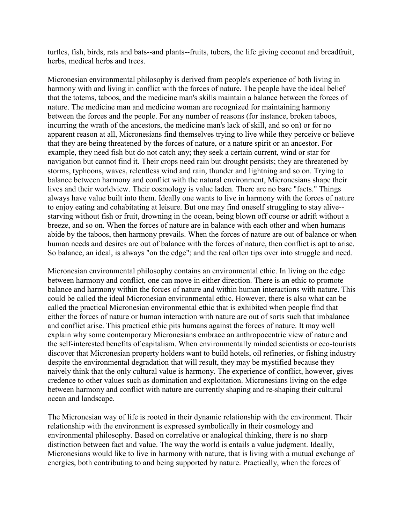turtles, fish, birds, rats and bats--and plants--fruits, tubers, the life giving coconut and breadfruit, herbs, medical herbs and trees.

Micronesian environmental philosophy is derived from people's experience of both living in harmony with and living in conflict with the forces of nature. The people have the ideal belief that the totems, taboos, and the medicine man's skills maintain a balance between the forces of nature. The medicine man and medicine woman are recognized for maintaining harmony between the forces and the people. For any number of reasons (for instance, broken taboos, incurring the wrath of the ancestors, the medicine man's lack of skill, and so on) or for no apparent reason at all, Micronesians find themselves trying to live while they perceive or believe that they are being threatened by the forces of nature, or a nature spirit or an ancestor. For example, they need fish but do not catch any; they seek a certain current, wind or star for navigation but cannot find it. Their crops need rain but drought persists; they are threatened by storms, typhoons, waves, relentless wind and rain, thunder and lightning and so on. Trying to balance between harmony and conflict with the natural environment, Micronesians shape their lives and their worldview. Their cosmology is value laden. There are no bare "facts." Things always have value built into them. Ideally one wants to live in harmony with the forces of nature to enjoy eating and cohabitating at leisure. But one may find oneself struggling to stay alive- starving without fish or fruit, drowning in the ocean, being blown off course or adrift without a breeze, and so on. When the forces of nature are in balance with each other and when humans abide by the taboos, then harmony prevails. When the forces of nature are out of balance or when human needs and desires are out of balance with the forces of nature, then conflict is apt to arise. So balance, an ideal, is always "on the edge"; and the real often tips over into struggle and need.

Micronesian environmental philosophy contains an environmental ethic. In living on the edge between harmony and conflict, one can move in either direction. There is an ethic to promote balance and harmony within the forces of nature and within human interactions with nature. This could be called the ideal Micronesian environmental ethic. However, there is also what can be called the practical Micronesian environmental ethic that is exhibited when people find that either the forces of nature or human interaction with nature are out of sorts such that imbalance and conflict arise. This practical ethic pits humans against the forces of nature. It may well explain why some contemporary Micronesians embrace an anthropocentric view of nature and the self-interested benefits of capitalism. When environmentally minded scientists or eco-tourists discover that Micronesian property holders want to build hotels, oil refineries, or fishing industry despite the environmental degradation that will result, they may be mystified because they naively think that the only cultural value is harmony. The experience of conflict, however, gives credence to other values such as domination and exploitation. Micronesians living on the edge between harmony and conflict with nature are currently shaping and re-shaping their cultural ocean and landscape.

The Micronesian way of life is rooted in their dynamic relationship with the environment. Their relationship with the environment is expressed symbolically in their cosmology and environmental philosophy. Based on correlative or analogical thinking, there is no sharp distinction between fact and value. The way the world is entails a value judgment. Ideally, Micronesians would like to live in harmony with nature, that is living with a mutual exchange of energies, both contributing to and being supported by nature. Practically, when the forces of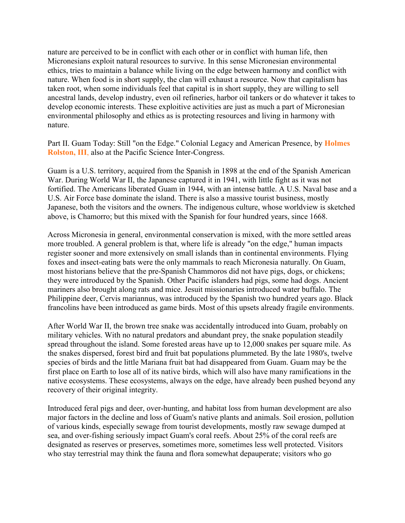nature are perceived to be in conflict with each other or in conflict with human life, then Micronesians exploit natural resources to survive. In this sense Micronesian environmental ethics, tries to maintain a balance while living on the edge between harmony and conflict with nature. When food is in short supply, the clan will exhaust a resource. Now that capitalism has taken root, when some individuals feel that capital is in short supply, they are willing to sell ancestral lands, develop industry, even oil refineries, harbor oil tankers or do whatever it takes to develop economic interests. These exploitive activities are just as much a part of Micronesian environmental philosophy and ethics as is protecting resources and living in harmony with nature.

Part II. Guam Today: Still "on the Edge." Colonial Legacy and American Presence, by **Holmes Rolston, III**, also at the Pacific Science Inter-Congress.

Guam is a U.S. territory, acquired from the Spanish in 1898 at the end of the Spanish American War. During World War II, the Japanese captured it in 1941, with little fight as it was not fortified. The Americans liberated Guam in 1944, with an intense battle. A U.S. Naval base and a U.S. Air Force base dominate the island. There is also a massive tourist business, mostly Japanese, both the visitors and the owners. The indigenous culture, whose worldview is sketched above, is Chamorro; but this mixed with the Spanish for four hundred years, since 1668.

Across Micronesia in general, environmental conservation is mixed, with the more settled areas more troubled. A general problem is that, where life is already "on the edge," human impacts register sooner and more extensively on small islands than in continental environments. Flying foxes and insect-eating bats were the only mammals to reach Micronesia naturally. On Guam, most historians believe that the pre-Spanish Chammoros did not have pigs, dogs, or chickens; they were introduced by the Spanish. Other Pacific islanders had pigs, some had dogs. Ancient mariners also brought along rats and mice. Jesuit missionaries introduced water buffalo. The Philippine deer, Cervis mariannus, was introduced by the Spanish two hundred years ago. Black francolins have been introduced as game birds. Most of this upsets already fragile environments.

After World War II, the brown tree snake was accidentally introduced into Guam, probably on military vehicles. With no natural predators and abundant prey, the snake population steadily spread throughout the island. Some forested areas have up to 12,000 snakes per square mile. As the snakes dispersed, forest bird and fruit bat populations plummeted. By the late 1980's, twelve species of birds and the little Mariana fruit bat had disappeared from Guam. Guam may be the first place on Earth to lose all of its native birds, which will also have many ramifications in the native ecosystems. These ecosystems, always on the edge, have already been pushed beyond any recovery of their original integrity.

Introduced feral pigs and deer, over-hunting, and habitat loss from human development are also major factors in the decline and loss of Guam's native plants and animals. Soil erosion, pollution of various kinds, especially sewage from tourist developments, mostly raw sewage dumped at sea, and over-fishing seriously impact Guam's coral reefs. About 25% of the coral reefs are designated as reserves or preserves, sometimes more, sometimes less well protected. Visitors who stay terrestrial may think the fauna and flora somewhat depauperate; visitors who go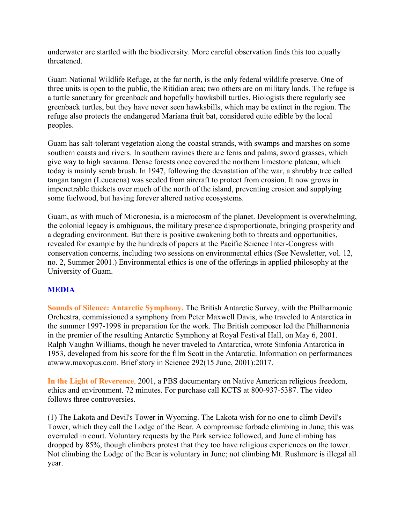underwater are startled with the biodiversity. More careful observation finds this too equally threatened.

Guam National Wildlife Refuge, at the far north, is the only federal wildlife preserve. One of three units is open to the public, the Ritidian area; two others are on military lands. The refuge is a turtle sanctuary for greenback and hopefully hawksbill turtles. Biologists there regularly see greenback turtles, but they have never seen hawksbills, which may be extinct in the region. The refuge also protects the endangered Mariana fruit bat, considered quite edible by the local peoples.

Guam has salt-tolerant vegetation along the coastal strands, with swamps and marshes on some southern coasts and rivers. In southern ravines there are ferns and palms, sword grasses, which give way to high savanna. Dense forests once covered the northern limestone plateau, which today is mainly scrub brush. In 1947, following the devastation of the war, a shrubby tree called tangan tangan (Leucaena) was seeded from aircraft to protect from erosion. It now grows in impenetrable thickets over much of the north of the island, preventing erosion and supplying some fuelwood, but having forever altered native ecosystems.

Guam, as with much of Micronesia, is a microcosm of the planet. Development is overwhelming, the colonial legacy is ambiguous, the military presence disproportionate, bringing prosperity and a degrading environment. But there is positive awakening both to threats and opportunities, revealed for example by the hundreds of papers at the Pacific Science Inter-Congress with conservation concerns, including two sessions on environmental ethics (See Newsletter, vol. 12, no. 2, Summer 2001.) Environmental ethics is one of the offerings in applied philosophy at the University of Guam.

## **MEDIA**

**Sounds of Silence: Antarctic Symphony.** The British Antarctic Survey, with the Philharmonic Orchestra, commissioned a symphony from Peter Maxwell Davis, who traveled to Antarctica in the summer 1997-1998 in preparation for the work. The British composer led the Philharmonia in the premier of the resulting Antarctic Symphony at Royal Festival Hall, on May 6, 2001. Ralph Vaughn Williams, though he never traveled to Antarctica, wrote Sinfonia Antarctica in 1953, developed from his score for the film Scott in the Antarctic. Information on performances atwww.maxopus.com. Brief story in Science 292(15 June, 2001):2017.

**In the Light of Reverence**, 2001, a PBS documentary on Native American religious freedom, ethics and environment. 72 minutes. For purchase call KCTS at 800-937-5387. The video follows three controversies.

(1) The Lakota and Devil's Tower in Wyoming. The Lakota wish for no one to climb Devil's Tower, which they call the Lodge of the Bear. A compromise forbade climbing in June; this was overruled in court. Voluntary requests by the Park service followed, and June climbing has dropped by 85%, though climbers protest that they too have religious experiences on the tower. Not climbing the Lodge of the Bear is voluntary in June; not climbing Mt. Rushmore is illegal all year.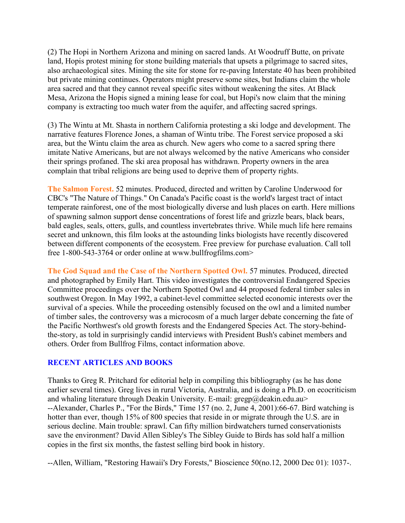(2) The Hopi in Northern Arizona and mining on sacred lands. At Woodruff Butte, on private land, Hopis protest mining for stone building materials that upsets a pilgrimage to sacred sites, also archaeological sites. Mining the site for stone for re-paving Interstate 40 has been prohibited but private mining continues. Operators might preserve some sites, but Indians claim the whole area sacred and that they cannot reveal specific sites without weakening the sites. At Black Mesa, Arizona the Hopis signed a mining lease for coal, but Hopi's now claim that the mining company is extracting too much water from the aquifer, and affecting sacred springs.

(3) The Wintu at Mt. Shasta in northern California protesting a ski lodge and development. The narrative features Florence Jones, a shaman of Wintu tribe. The Forest service proposed a ski area, but the Wintu claim the area as church. New agers who come to a sacred spring there imitate Native Americans, but are not always welcomed by the native Americans who consider their springs profaned. The ski area proposal has withdrawn. Property owners in the area complain that tribal religions are being used to deprive them of property rights.

**The Salmon Forest.** 52 minutes. Produced, directed and written by Caroline Underwood for CBC's "The Nature of Things." On Canada's Pacific coast is the world's largest tract of intact temperate rainforest, one of the most biologically diverse and lush places on earth. Here millions of spawning salmon support dense concentrations of forest life and grizzle bears, black bears, bald eagles, seals, otters, gulls, and countless invertebrates thrive. While much life here remains secret and unknown, this film looks at the astounding links biologists have recently discovered between different components of the ecosystem. Free preview for purchase evaluation. Call toll free 1-800-543-3764 or order online at www.bullfrogfilms.com>

**The God Squad and the Case of the Northern Spotted Owl.** 57 minutes. Produced, directed and photographed by Emily Hart. This video investigates the controversial Endangered Species Committee proceedings over the Northern Spotted Owl and 44 proposed federal timber sales in southwest Oregon. In May 1992, a cabinet-level committee selected economic interests over the survival of a species. While the proceeding ostensibly focused on the owl and a limited number of timber sales, the controversy was a microcosm of a much larger debate concerning the fate of the Pacific Northwest's old growth forests and the Endangered Species Act. The story-behindthe-story, as told in surprisingly candid interviews with President Bush's cabinet members and others. Order from Bullfrog Films, contact information above.

## **RECENT ARTICLES AND BOOKS**

Thanks to Greg R. Pritchard for editorial help in compiling this bibliography (as he has done earlier several times). Greg lives in rural Victoria, Australia, and is doing a Ph.D. on ecocriticism and whaling literature through Deakin University. E-mail:  $\text{gregp}(\partial \theta)$  deakin.edu.au> --Alexander, Charles P., "For the Birds," Time 157 (no. 2, June 4, 2001):66-67. Bird watching is hotter than ever, though 15% of 800 species that reside in or migrate through the U.S. are in serious decline. Main trouble: sprawl. Can fifty million birdwatchers turned conservationists save the environment? David Allen Sibley's The Sibley Guide to Birds has sold half a million copies in the first six months, the fastest selling bird book in history.

--Allen, William, "Restoring Hawaii's Dry Forests," Bioscience 50(no.12, 2000 Dec 01): 1037-.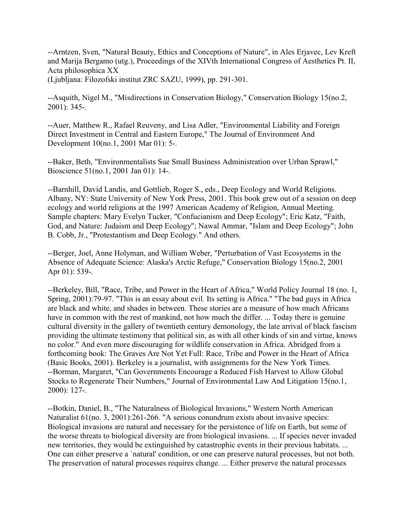--Arntzen, Sven, "Natural Beauty, Ethics and Conceptions of Nature", in Ales Erjavec, Lev Kreft and Marija Bergamo (utg.), Proceedings of the XIVth International Congress of Aesthetics Pt. II, Acta philosophica XX

(Ljubljana: Filozofski institut ZRC SAZU, 1999), pp. 291-301.

--Asquith, Nigel M., "Misdirections in Conservation Biology," Conservation Biology 15(no.2, 2001): 345-.

--Auer, Matthew R., Rafael Reuveny, and Lisa Adler, "Environmental Liability and Foreign Direct Investment in Central and Eastern Europe," The Journal of Environment And Development 10(no.1, 2001 Mar 01): 5-.

--Baker, Beth, "Environmentalists Sue Small Business Administration over Urban Sprawl," Bioscience 51(no.1, 2001 Jan 01): 14-.

--Barnhill, David Landis, and Gottlieb, Roger S., eds., Deep Ecology and World Religions. Albany, NY: State University of New York Press, 2001. This book grew out of a session on deep ecology and world religions at the 1997 American Academy of Religion, Annual Meeting. Sample chapters: Mary Evelyn Tucker, "Confucianism and Deep Ecology"; Eric Katz, "Faith, God, and Nature: Judaism and Deep Ecology"; Nawal Ammar, "Islam and Deep Ecology"; John B. Cobb, Jr., "Protestantism and Deep Ecology." And others.

--Berger, Joel, Anne Holyman, and William Weber, "Perturbation of Vast Ecosystems in the Absence of Adequate Science: Alaska's Arctic Refuge," Conservation Biology 15(no.2, 2001 Apr 01): 539-.

--Berkeley, Bill, "Race, Tribe, and Power in the Heart of Africa," World Policy Journal 18 (no. 1, Spring, 2001):79-97. "This is an essay about evil. Its setting is Africa." "The bad guys in Africa are black and white, and shades in between. These stories are a measure of how much Africans have in common with the rest of mankind, not how much the differ. ... Today there is genuine cultural diversity in the gallery of twentieth century demonology, the late arrival of black fascism providing the ultimate testimony that political sin, as with all other kinds of sin and virtue, knows no color." And even more discouraging for wildlife conservation in Africa. Abridged from a forthcoming book: The Graves Are Not Yet Full: Race, Tribe and Power in the Heart of Africa (Basic Books, 2001). Berkeley is a journalist, with assignments for the New York Times. --Borman, Margaret, "Can Governments Encourage a Reduced Fish Harvest to Allow Global Stocks to Regenerate Their Numbers," Journal of Environmental Law And Litigation 15(no.1, 2000): 127-.

--Botkin, Daniel, B., "The Naturalness of Biological Invasions," Western North American Naturalist 61(no. 3, 2001):261-266. "A serious conundrum exists about invasive species: Biological invasions are natural and necessary for the persistence of life on Earth, but some of the worse threats to biological diversity are from biological invasions. ... If species never invaded new territories, they would be extinguished by catastrophic events in their previous habitats. ... One can either preserve a `natural' condition, or one can preserve natural processes, but not both. The preservation of natural processes requires change. ... Either preserve the natural processes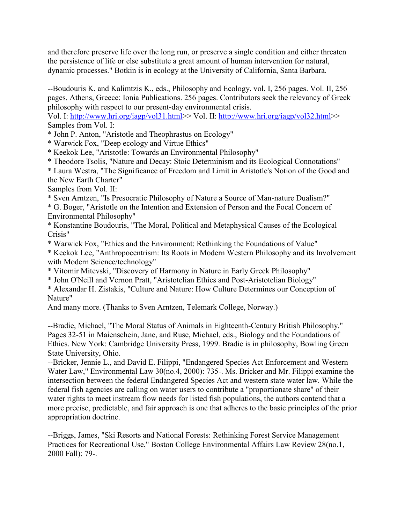and therefore preserve life over the long run, or preserve a single condition and either threaten the persistence of life or else substitute a great amount of human intervention for natural, dynamic processes." Botkin is in ecology at the University of California, Santa Barbara.

--Boudouris K. and Kalimtzis K., eds., Philosophy and Ecology, vol. I, 256 pages. Vol. II, 256 pages. Athens, Greece: Ionia Publications. 256 pages. Contributors seek the relevancy of Greek philosophy with respect to our present-day environmental crisis.

Vol. I: [http://www.hri.org/iagp/vol31.html>](http://www.hri.org/iagp/vol31.html)> Vol. II: [http://www.hri.org/iagp/vol32.html>](http://www.hri.org/iagp/vol32.html)> Samples from Vol. I:

\* John P. Anton, "Aristotle and Theophrastus on Ecology"

\* Warwick Fox, "Deep ecology and Virtue Ethics"

\* Keekok Lee, "Aristotle: Towards an Environmental Philosophy"

\* Theodore Tsolis, "Nature and Decay: Stoic Determinism and its Ecological Connotations"

\* Laura Westra, "The Significance of Freedom and Limit in Aristotle's Notion of the Good and the New Earth Charter"

Samples from Vol. II:

\* Sven Arntzen, "Is Presocratic Philosophy of Nature a Source of Man-nature Dualism?" \* G. Boger, "Aristotle on the Intention and Extension of Person and the Focal Concern of

Environmental Philosophy"

\* Konstantine Boudouris, "The Moral, Political and Metaphysical Causes of the Ecological Crisis"

\* Warwick Fox, "Ethics and the Environment: Rethinking the Foundations of Value"

\* Keekok Lee, "Anthropocentrism: Its Roots in Modern Western Philosophy and its Involvement with Modern Science/technology"

\* Vitomir Mitevski, "Discovery of Harmony in Nature in Early Greek Philosophy"

\* John O'Neill and Vernon Pratt, "Aristotelian Ethics and Post-Aristotelian Biology"

\* Alexandar H. Zistakis, "Culture and Nature: How Culture Determines our Conception of Nature"

And many more. (Thanks to Sven Arntzen, Telemark College, Norway.)

--Bradie, Michael, "The Moral Status of Animals in Eighteenth-Century British Philosophy." Pages 32-51 in Maienschein, Jane, and Ruse, Michael, eds., Biology and the Foundations of Ethics. New York: Cambridge University Press, 1999. Bradie is in philosophy, Bowling Green State University, Ohio.

--Bricker, Jennie L., and David E. Filippi, "Endangered Species Act Enforcement and Western Water Law," Environmental Law 30(no.4, 2000): 735-. Ms. Bricker and Mr. Filippi examine the intersection between the federal Endangered Species Act and western state water law. While the federal fish agencies are calling on water users to contribute a "proportionate share" of their water rights to meet instream flow needs for listed fish populations, the authors contend that a more precise, predictable, and fair approach is one that adheres to the basic principles of the prior appropriation doctrine.

--Briggs, James, "Ski Resorts and National Forests: Rethinking Forest Service Management Practices for Recreational Use," Boston College Environmental Affairs Law Review 28(no.1, 2000 Fall): 79-.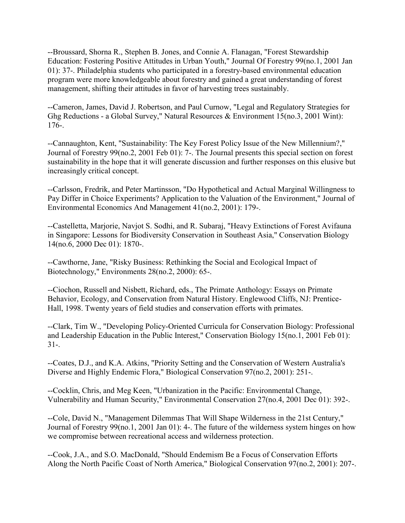--Broussard, Shorna R., Stephen B. Jones, and Connie A. Flanagan, "Forest Stewardship Education: Fostering Positive Attitudes in Urban Youth," Journal Of Forestry 99(no.1, 2001 Jan 01): 37-. Philadelphia students who participated in a forestry-based environmental education program were more knowledgeable about forestry and gained a great understanding of forest management, shifting their attitudes in favor of harvesting trees sustainably.

--Cameron, James, David J. Robertson, and Paul Curnow, "Legal and Regulatory Strategies for Ghg Reductions - a Global Survey," Natural Resources & Environment 15(no.3, 2001 Wint): 176-.

--Cannaughton, Kent, "Sustainability: The Key Forest Policy Issue of the New Millennium?," Journal of Forestry 99(no.2, 2001 Feb 01): 7-. The Journal presents this special section on forest sustainability in the hope that it will generate discussion and further responses on this elusive but increasingly critical concept.

--Carlsson, Fredrik, and Peter Martinsson, "Do Hypothetical and Actual Marginal Willingness to Pay Differ in Choice Experiments? Application to the Valuation of the Environment," Journal of Environmental Economics And Management 41(no.2, 2001): 179-.

--Castelletta, Marjorie, Navjot S. Sodhi, and R. Subaraj, "Heavy Extinctions of Forest Avifauna in Singapore: Lessons for Biodiversity Conservation in Southeast Asia," Conservation Biology 14(no.6, 2000 Dec 01): 1870-.

--Cawthorne, Jane, "Risky Business: Rethinking the Social and Ecological Impact of Biotechnology," Environments 28(no.2, 2000): 65-.

--Ciochon, Russell and Nisbett, Richard, eds., The Primate Anthology: Essays on Primate Behavior, Ecology, and Conservation from Natural History. Englewood Cliffs, NJ: Prentice-Hall, 1998. Twenty years of field studies and conservation efforts with primates.

--Clark, Tim W., "Developing Policy-Oriented Curricula for Conservation Biology: Professional and Leadership Education in the Public Interest," Conservation Biology 15(no.1, 2001 Feb 01): 31-.

--Coates, D.J., and K.A. Atkins, "Priority Setting and the Conservation of Western Australia's Diverse and Highly Endemic Flora," Biological Conservation 97(no.2, 2001): 251-.

--Cocklin, Chris, and Meg Keen, "Urbanization in the Pacific: Environmental Change, Vulnerability and Human Security," Environmental Conservation 27(no.4, 2001 Dec 01): 392-.

--Cole, David N., "Management Dilemmas That Will Shape Wilderness in the 21st Century," Journal of Forestry 99(no.1, 2001 Jan 01): 4-. The future of the wilderness system hinges on how we compromise between recreational access and wilderness protection.

--Cook, J.A., and S.O. MacDonald, "Should Endemism Be a Focus of Conservation Efforts Along the North Pacific Coast of North America," Biological Conservation 97(no.2, 2001): 207-.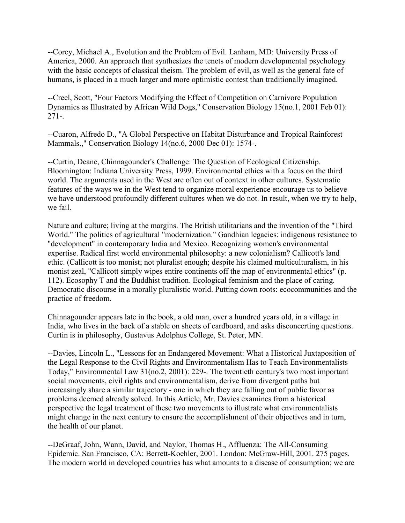--Corey, Michael A., Evolution and the Problem of Evil. Lanham, MD: University Press of America, 2000. An approach that synthesizes the tenets of modern developmental psychology with the basic concepts of classical theism. The problem of evil, as well as the general fate of humans, is placed in a much larger and more optimistic contest than traditionally imagined.

--Creel, Scott, "Four Factors Modifying the Effect of Competition on Carnivore Population Dynamics as Illustrated by African Wild Dogs," Conservation Biology 15(no.1, 2001 Feb 01): 271-.

--Cuaron, Alfredo D., "A Global Perspective on Habitat Disturbance and Tropical Rainforest Mammals.," Conservation Biology 14(no.6, 2000 Dec 01): 1574-.

--Curtin, Deane, Chinnagounder's Challenge: The Question of Ecological Citizenship. Bloomington: Indiana University Press, 1999. Environmental ethics with a focus on the third world. The arguments used in the West are often out of context in other cultures. Systematic features of the ways we in the West tend to organize moral experience encourage us to believe we have understood profoundly different cultures when we do not. In result, when we try to help, we fail.

Nature and culture; living at the margins. The British utilitarians and the invention of the "Third World." The politics of agricultural "modernization." Gandhian legacies: indigenous resistance to "development" in contemporary India and Mexico. Recognizing women's environmental expertise. Radical first world environmental philosophy: a new colonialism? Callicott's land ethic. (Callicott is too monist; not pluralist enough; despite his claimed multiculturalism, in his monist zeal, "Callicott simply wipes entire continents off the map of environmental ethics" (p. 112). Ecosophy T and the Buddhist tradition. Ecological feminism and the place of caring. Democratic discourse in a morally pluralistic world. Putting down roots: ecocommunities and the practice of freedom.

Chinnagounder appears late in the book, a old man, over a hundred years old, in a village in India, who lives in the back of a stable on sheets of cardboard, and asks disconcerting questions. Curtin is in philosophy, Gustavus Adolphus College, St. Peter, MN.

--Davies, Lincoln L., "Lessons for an Endangered Movement: What a Historical Juxtaposition of the Legal Response to the Civil Rights and Environmentalism Has to Teach Environmentalists Today," Environmental Law 31(no.2, 2001): 229-. The twentieth century's two most important social movements, civil rights and environmentalism, derive from divergent paths but increasingly share a similar trajectory - one in which they are falling out of public favor as problems deemed already solved. In this Article, Mr. Davies examines from a historical perspective the legal treatment of these two movements to illustrate what environmentalists might change in the next century to ensure the accomplishment of their objectives and in turn, the health of our planet.

--DeGraaf, John, Wann, David, and Naylor, Thomas H., Affluenza: The All-Consuming Epidemic. San Francisco, CA: Berrett-Koehler, 2001. London: McGraw-Hill, 2001. 275 pages. The modern world in developed countries has what amounts to a disease of consumption; we are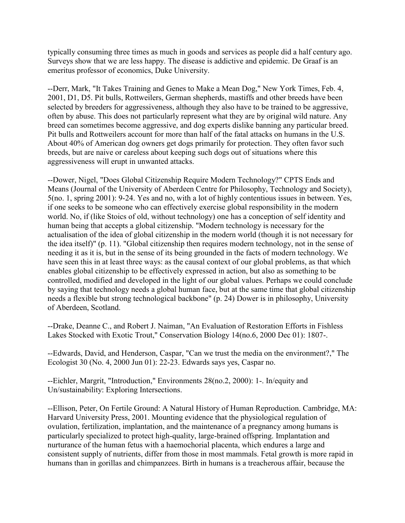typically consuming three times as much in goods and services as people did a half century ago. Surveys show that we are less happy. The disease is addictive and epidemic. De Graaf is an emeritus professor of economics, Duke University.

--Derr, Mark, "It Takes Training and Genes to Make a Mean Dog," New York Times, Feb. 4, 2001, D1, D5. Pit bulls, Rottweilers, German shepherds, mastiffs and other breeds have been selected by breeders for aggressiveness, although they also have to be trained to be aggressive, often by abuse. This does not particularly represent what they are by original wild nature. Any breed can sometimes become aggressive, and dog experts dislike banning any particular breed. Pit bulls and Rottweilers account for more than half of the fatal attacks on humans in the U.S. About 40% of American dog owners get dogs primarily for protection. They often favor such breeds, but are naive or careless about keeping such dogs out of situations where this aggressiveness will erupt in unwanted attacks.

--Dower, Nigel, "Does Global Citizenship Require Modern Technology?" CPTS Ends and Means (Journal of the University of Aberdeen Centre for Philosophy, Technology and Society), 5(no. 1, spring 2001): 9-24. Yes and no, with a lot of highly contentious issues in between. Yes, if one seeks to be someone who can effectively exercise global responsibility in the modern world. No, if (like Stoics of old, without technology) one has a conception of self identity and human being that accepts a global citizenship. "Modern technology is necessary for the actualisation of the idea of global citizenship in the modern world (though it is not necessary for the idea itself)" (p. 11). "Global citizenship then requires modern technology, not in the sense of needing it as it is, but in the sense of its being grounded in the facts of modern technology. We have seen this in at least three ways: as the causal context of our global problems, as that which enables global citizenship to be effectively expressed in action, but also as something to be controlled, modified and developed in the light of our global values. Perhaps we could conclude by saying that technology needs a global human face, but at the same time that global citizenship needs a flexible but strong technological backbone" (p. 24) Dower is in philosophy, University of Aberdeen, Scotland.

--Drake, Deanne C., and Robert J. Naiman, "An Evaluation of Restoration Efforts in Fishless Lakes Stocked with Exotic Trout," Conservation Biology 14(no.6, 2000 Dec 01): 1807-.

--Edwards, David, and Henderson, Caspar, "Can we trust the media on the environment?," The Ecologist 30 (No. 4, 2000 Jun 01): 22-23. Edwards says yes, Caspar no.

--Eichler, Margrit, "Introduction," Environments 28(no.2, 2000): 1-. In/equity and Un/sustainability: Exploring Intersections.

--Ellison, Peter, On Fertile Ground: A Natural History of Human Reproduction. Cambridge, MA: Harvard University Press, 2001. Mounting evidence that the physiological regulation of ovulation, fertilization, implantation, and the maintenance of a pregnancy among humans is particularly specialized to protect high-quality, large-brained offspring. Implantation and nurturance of the human fetus with a haemochorial placenta, which endures a large and consistent supply of nutrients, differ from those in most mammals. Fetal growth is more rapid in humans than in gorillas and chimpanzees. Birth in humans is a treacherous affair, because the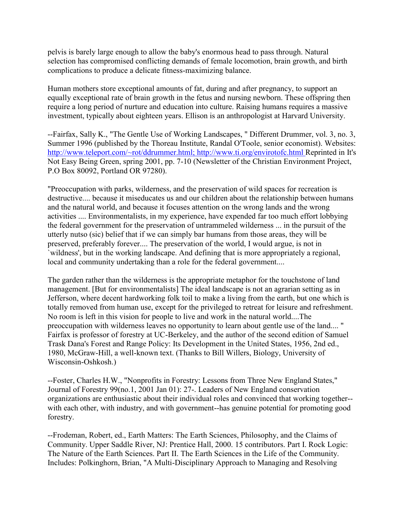pelvis is barely large enough to allow the baby's enormous head to pass through. Natural selection has compromised conflicting demands of female locomotion, brain growth, and birth complications to produce a delicate fitness-maximizing balance.

Human mothers store exceptional amounts of fat, during and after pregnancy, to support an equally exceptional rate of brain growth in the fetus and nursing newborn. These offspring then require a long period of nurture and education into culture. Raising humans requires a massive investment, typically about eighteen years. Ellison is an anthropologist at Harvard University.

--Fairfax, Sally K., "The Gentle Use of Working Landscapes, " Different Drummer, vol. 3, no. 3, Summer 1996 (published by the Thoreau Institute, Randal O'Toole, senior economist). Websites: [http://www.teleport.com/~rot/ddrummer.html; http://www.ti.org/envirotofc.html R](http://www.teleport.com/~rot/ddrummer.html)eprinted in It's Not Easy Being Green, spring 2001, pp. 7-10 (Newsletter of the Christian Environment Project, P.O Box 80092, Portland OR 97280).

"Preoccupation with parks, wilderness, and the preservation of wild spaces for recreation is destructive.... because it miseducates us and our children about the relationship between humans and the natural world, and because it focuses attention on the wrong lands and the wrong activities .... Environmentalists, in my experience, have expended far too much effort lobbying the federal government for the preservation of untrammeled wilderness ... in the pursuit of the utterly nutso (sic) belief that if we can simply bar humans from those areas, they will be preserved, preferably forever.... The preservation of the world, I would argue, is not in `wildness', but in the working landscape. And defining that is more appropriately a regional, local and community undertaking than a role for the federal government....

The garden rather than the wilderness is the appropriate metaphor for the touchstone of land management. [But for environmentalists] The ideal landscape is not an agrarian setting as in Jefferson, where decent hardworking folk toil to make a living from the earth, but one which is totally removed from human use, except for the privileged to retreat for leisure and refreshment. No room is left in this vision for people to live and work in the natural world....The preoccupation with wilderness leaves no opportunity to learn about gentle use of the land.... " Fairfax is professor of forestry at UC-Berkeley, and the author of the second edition of Samuel Trask Dana's Forest and Range Policy: Its Development in the United States, 1956, 2nd ed., 1980, McGraw-Hill, a well-known text. (Thanks to Bill Willers, Biology, University of Wisconsin-Oshkosh.)

--Foster, Charles H.W., "Nonprofits in Forestry: Lessons from Three New England States," Journal of Forestry 99(no.1, 2001 Jan 01): 27-. Leaders of New England conservation organizations are enthusiastic about their individual roles and convinced that working together- with each other, with industry, and with government--has genuine potential for promoting good forestry.

--Frodeman, Robert, ed., Earth Matters: The Earth Sciences, Philosophy, and the Claims of Community. Upper Saddle River, NJ: Prentice Hall, 2000. 15 contributors. Part I. Rock Logic: The Nature of the Earth Sciences. Part II. The Earth Sciences in the Life of the Community. Includes: Polkinghorn, Brian, "A Multi-Disciplinary Approach to Managing and Resolving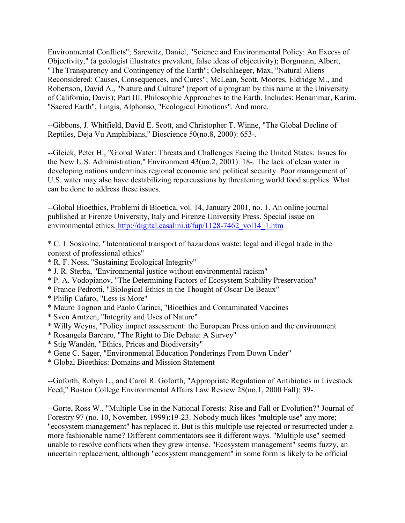Environmental Conflicts"; Sarewitz, Daniel, "Science and Environmental Policy: An Excess of Objectivity," (a geologist illustrates prevalent, false ideas of objectivity); Borgmann, Albert, "The Transparency and Contingency of the Earth"; Oelschlaeger, Max, "Natural Aliens Reconsidered: Causes, Consequences, and Cures"; McLean, Scott, Moores, Eldridge M., and Robertson, David A., "Nature and Culture" (report of a program by this name at the University of California, Davis); Part III. Philosophic Approaches to the Earth. Includes: Benammar, Karim, "Sacred Earth"; Lingis, Alphonso, "Ecological Emotions". And more.

--Gibbons, J. Whitfield, David E. Scott, and Christopher T. Winne, "The Global Decline of Reptiles, Deja Vu Amphibians," Bioscience 50(no.8, 2000): 653-.

--Gleick, Peter H., "Global Water: Threats and Challenges Facing the United States: Issues for the New U.S. Administration," Environment 43(no.2, 2001): 18-. The lack of clean water in developing nations undermines regional economic and political security. Poor management of U.S. water may also have destabilizing repercussions by threatening world food supplies. What can be done to address these issues.

--Global Bioethics, Problemi di Bioetica, vol. 14, January 2001, no. 1. An online journal published at Firenze University, Italy and Firenze University Press. Special issue on environmental ethics. [http://digital.casalini.it/fup/1128-7462\\_vol14\\_1.htm](http://digital.casalini.it/fup/1128-7462_vol14_1.htm)

\* C. L Soskolne, "International transport of hazardous waste: legal and illegal trade in the context of professional ethics"

- \* R. F. Noss, "Sustaining Ecological Integrity"
- \* J. R. Sterba, "Environmental justice without environmental racism"
- \* P. A. Vodopianov, "The Determining Factors of Ecosystem Stability Preservation"
- \* Franco Pedrotti, "Biological Ethics in the Thought of Oscar De Beaux"
- \* Philip Cafaro, "Less is More"
- \* Mauro Tognon and Paolo Carinci, "Bioethics and Contaminated Vaccines
- \* Sven Arntzen, "Integrity and Uses of Nature"
- \* Willy Weyns, "Policy impact assessment: the European Press union and the environment
- \* Rosangela Barcaro, "The Right to Die Debate: A Survey"
- \* Stig Wandén, "Ethics, Prices and Biodiversity"
- \* Gene C. Sager, "Environmental Education Ponderings From Down Under"
- \* Global Bioethics: Domains and Mission Statement

--Goforth, Robyn L., and Carol R. Goforth, "Appropriate Regulation of Antibiotics in Livestock Feed," Boston College Environmental Affairs Law Review 28(no.1, 2000 Fall): 39-.

--Gorte, Ross W., "Multiple Use in the National Forests: Rise and Fall or Evolution?" Journal of Forestry 97 (no. 10, November, 1999):19-23. Nobody much likes "multiple use" any more; "ecosystem management" has replaced it. But is this multiple use rejected or resurrected under a more fashionable name? Different commentators see it different ways. "Multiple use" seemed unable to resolve conflicts when they grew intense. "Ecosystem management" seems fuzzy, an uncertain replacement, although "ecosystem management" in some form is likely to be official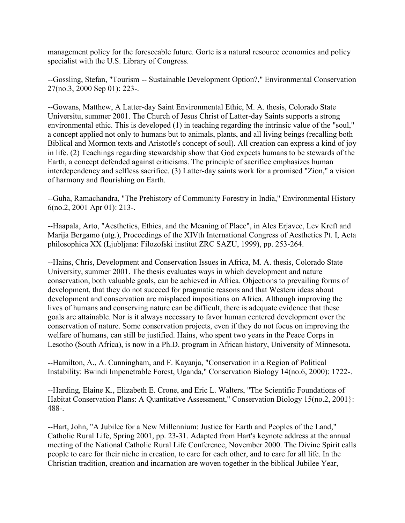management policy for the foreseeable future. Gorte is a natural resource economics and policy specialist with the U.S. Library of Congress.

--Gossling, Stefan, "Tourism -- Sustainable Development Option?," Environmental Conservation 27(no.3, 2000 Sep 01): 223-.

--Gowans, Matthew, A Latter-day Saint Environmental Ethic, M. A. thesis, Colorado State Universitu, summer 2001. The Church of Jesus Christ of Latter-day Saints supports a strong environmental ethic. This is developed (1) in teaching regarding the intrinsic value of the "soul," a concept applied not only to humans but to animals, plants, and all living beings (recalling both Biblical and Mormon texts and Aristotle's concept of soul). All creation can express a kind of joy in life. (2) Teachings regarding stewardship show that God expects humans to be stewards of the Earth, a concept defended against criticisms. The principle of sacrifice emphasizes human interdependency and selfless sacrifice. (3) Latter-day saints work for a promised "Zion," a vision of harmony and flourishing on Earth.

--Guha, Ramachandra, "The Prehistory of Community Forestry in India," Environmental History 6(no.2, 2001 Apr 01): 213-.

--Haapala, Arto, "Aesthetics, Ethics, and the Meaning of Place", in Ales Erjavec, Lev Kreft and Marija Bergamo (utg.), Proceedings of the XIVth International Congress of Aesthetics Pt. I, Acta philosophica XX (Ljubljana: Filozofski institut ZRC SAZU, 1999), pp. 253-264.

--Hains, Chris, Development and Conservation Issues in Africa, M. A. thesis, Colorado State University, summer 2001. The thesis evaluates ways in which development and nature conservation, both valuable goals, can be achieved in Africa. Objections to prevailing forms of development, that they do not succeed for pragmatic reasons and that Western ideas about development and conservation are misplaced impositions on Africa. Although improving the lives of humans and conserving nature can be difficult, there is adequate evidence that these goals are attainable. Nor is it always necessary to favor human centered development over the conservation of nature. Some conservation projects, even if they do not focus on improving the welfare of humans, can still be justified. Hains, who spent two years in the Peace Corps in Lesotho (South Africa), is now in a Ph.D. program in African history, University of Minnesota.

--Hamilton, A., A. Cunningham, and F. Kayanja, "Conservation in a Region of Political Instability: Bwindi Impenetrable Forest, Uganda," Conservation Biology 14(no.6, 2000): 1722-.

--Harding, Elaine K., Elizabeth E. Crone, and Eric L. Walters, "The Scientific Foundations of Habitat Conservation Plans: A Quantitative Assessment," Conservation Biology 15(no.2, 2001}: 488-.

--Hart, John, "A Jubilee for a New Millennium: Justice for Earth and Peoples of the Land," Catholic Rural Life, Spring 2001, pp. 23-31. Adapted from Hart's keynote address at the annual meeting of the National Catholic Rural Life Conference, November 2000. The Divine Spirit calls people to care for their niche in creation, to care for each other, and to care for all life. In the Christian tradition, creation and incarnation are woven together in the biblical Jubilee Year,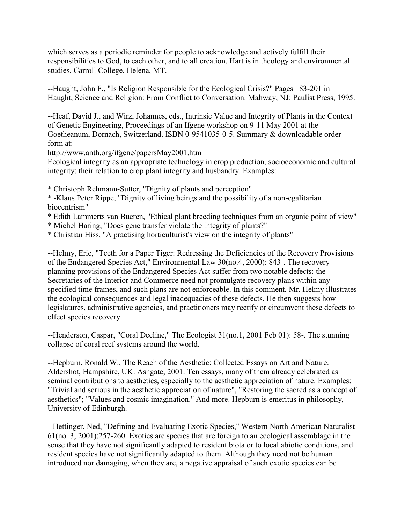which serves as a periodic reminder for people to acknowledge and actively fulfill their responsibilities to God, to each other, and to all creation. Hart is in theology and environmental studies, Carroll College, Helena, MT.

--Haught, John F., "Is Religion Responsible for the Ecological Crisis?" Pages 183-201 in Haught, Science and Religion: From Conflict to Conversation. Mahway, NJ: Paulist Press, 1995.

--Heaf, David J., and Wirz, Johannes, eds., Intrinsic Value and Integrity of Plants in the Context of Genetic Engineering, Proceedings of an Ifgene workshop on 9-11 May 2001 at the Goetheanum, Dornach, Switzerland. ISBN 0-9541035-0-5. Summary & downloadable order form at:

http://www.anth.org/ifgene/papersMay2001.htm

Ecological integrity as an appropriate technology in crop production, socioeconomic and cultural integrity: their relation to crop plant integrity and husbandry. Examples:

\* Christoph Rehmann-Sutter, "Dignity of plants and perception"

\* -Klaus Peter Rippe, "Dignity of living beings and the possibility of a non-egalitarian biocentrism"

- \* Edith Lammerts van Bueren, "Ethical plant breeding techniques from an organic point of view"
- \* Michel Haring, "Does gene transfer violate the integrity of plants?"
- \* Christian Hiss, "A practising horticulturist's view on the integrity of plants"

--Helmy, Eric, "Teeth for a Paper Tiger: Redressing the Deficiencies of the Recovery Provisions of the Endangered Species Act," Environmental Law 30(no.4, 2000): 843-. The recovery planning provisions of the Endangered Species Act suffer from two notable defects: the Secretaries of the Interior and Commerce need not promulgate recovery plans within any specified time frames, and such plans are not enforceable. In this comment, Mr. Helmy illustrates the ecological consequences and legal inadequacies of these defects. He then suggests how legislatures, administrative agencies, and practitioners may rectify or circumvent these defects to effect species recovery.

--Henderson, Caspar, "Coral Decline," The Ecologist 31(no.1, 2001 Feb 01): 58-. The stunning collapse of coral reef systems around the world.

--Hepburn, Ronald W., The Reach of the Aesthetic: Collected Essays on Art and Nature. Aldershot, Hampshire, UK: Ashgate, 2001. Ten essays, many of them already celebrated as seminal contributions to aesthetics, especially to the aesthetic appreciation of nature. Examples: "Trivial and serious in the aesthetic appreciation of nature", "Restoring the sacred as a concept of aesthetics"; "Values and cosmic imagination." And more. Hepburn is emeritus in philosophy, University of Edinburgh.

--Hettinger, Ned, "Defining and Evaluating Exotic Species," Western North American Naturalist 61(no. 3, 2001):257-260. Exotics are species that are foreign to an ecological assemblage in the sense that they have not significantly adapted to resident biota or to local abiotic conditions, and resident species have not significantly adapted to them. Although they need not be human introduced nor damaging, when they are, a negative appraisal of such exotic species can be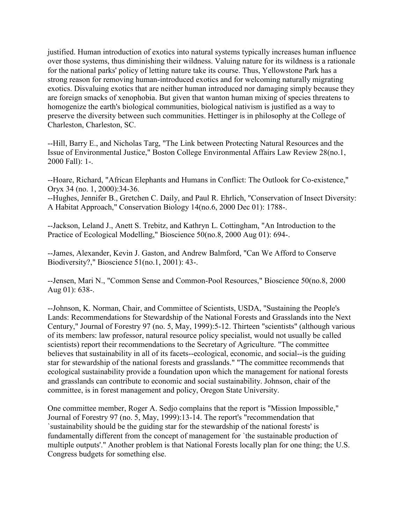justified. Human introduction of exotics into natural systems typically increases human influence over those systems, thus diminishing their wildness. Valuing nature for its wildness is a rationale for the national parks' policy of letting nature take its course. Thus, Yellowstone Park has a strong reason for removing human-introduced exotics and for welcoming naturally migrating exotics. Disvaluing exotics that are neither human introduced nor damaging simply because they are foreign smacks of xenophobia. But given that wanton human mixing of species threatens to homogenize the earth's biological communities, biological nativism is justified as a way to preserve the diversity between such communities. Hettinger is in philosophy at the College of Charleston, Charleston, SC.

--Hill, Barry E., and Nicholas Targ, "The Link between Protecting Natural Resources and the Issue of Environmental Justice," Boston College Environmental Affairs Law Review 28(no.1, 2000 Fall): 1-.

--Hoare, Richard, "African Elephants and Humans in Conflict: The Outlook for Co-existence," Oryx 34 (no. 1, 2000):34-36.

--Hughes, Jennifer B., Gretchen C. Daily, and Paul R. Ehrlich, "Conservation of Insect Diversity: A Habitat Approach," Conservation Biology 14(no.6, 2000 Dec 01): 1788-.

--Jackson, Leland J., Anett S. Trebitz, and Kathryn L. Cottingham, "An Introduction to the Practice of Ecological Modelling," Bioscience 50(no.8, 2000 Aug 01): 694-.

--James, Alexander, Kevin J. Gaston, and Andrew Balmford, "Can We Afford to Conserve Biodiversity?," Bioscience 51(no.1, 2001): 43-.

--Jensen, Mari N., "Common Sense and Common-Pool Resources," Bioscience 50(no.8, 2000 Aug 01): 638-.

--Johnson, K. Norman, Chair, and Committee of Scientists, USDA, "Sustaining the People's Lands: Recommendations for Stewardship of the National Forests and Grasslands into the Next Century," Journal of Forestry 97 (no. 5, May, 1999):5-12. Thirteen "scientists" (although various of its members: law professor, natural resource policy specialist, would not usually be called scientists) report their recommendations to the Secretary of Agriculture. "The committee believes that sustainability in all of its facets--ecological, economic, and social--is the guiding star for stewardship of the national forests and grasslands." "The committee recommends that ecological sustainability provide a foundation upon which the management for national forests and grasslands can contribute to economic and social sustainability. Johnson, chair of the committee, is in forest management and policy, Oregon State University.

One committee member, Roger A. Sedjo complains that the report is "Mission Impossible," Journal of Forestry 97 (no. 5, May, 1999):13-14. The report's "recommendation that `sustainability should be the guiding star for the stewardship of the national forests' is fundamentally different from the concept of management for `the sustainable production of multiple outputs'." Another problem is that National Forests locally plan for one thing; the U.S. Congress budgets for something else.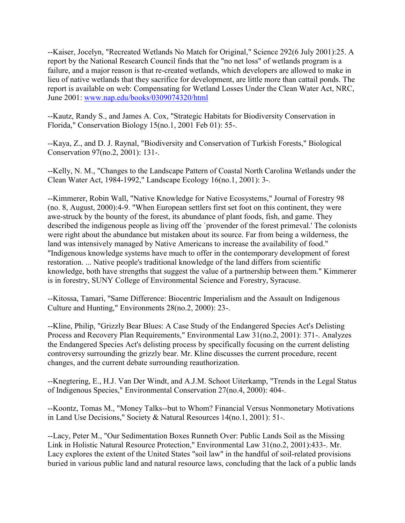--Kaiser, Jocelyn, "Recreated Wetlands No Match for Original," Science 292(6 July 2001):25. A report by the National Research Council finds that the "no net loss" of wetlands program is a failure, and a major reason is that re-created wetlands, which developers are allowed to make in lieu of native wetlands that they sacrifice for development, are little more than cattail ponds. The report is available on web: Compensating for Wetland Losses Under the Clean Water Act, NRC, June 2001: [www.nap.edu/books/0309074320/html](http://www.nap.edu/books/0309074320/html)

--Kautz, Randy S., and James A. Cox, "Strategic Habitats for Biodiversity Conservation in Florida," Conservation Biology 15(no.1, 2001 Feb 01): 55-.

--Kaya, Z., and D. J. Raynal, "Biodiversity and Conservation of Turkish Forests," Biological Conservation 97(no.2, 2001): 131-.

--Kelly, N. M., "Changes to the Landscape Pattern of Coastal North Carolina Wetlands under the Clean Water Act, 1984-1992," Landscape Ecology 16(no.1, 2001): 3-.

--Kimmerer, Robin Wall, "Native Knowledge for Native Ecosystems," Journal of Forestry 98 (no. 8, August, 2000):4-9. "When European settlers first set foot on this continent, they were awe-struck by the bounty of the forest, its abundance of plant foods, fish, and game. They described the indigenous people as living off the `provender of the forest primeval.' The colonists were right about the abundance but mistaken about its source. Far from being a wilderness, the land was intensively managed by Native Americans to increase the availability of food." "Indigenous knowledge systems have much to offer in the contemporary development of forest restoration. ... Native people's traditional knowledge of the land differs from scientific knowledge, both have strengths that suggest the value of a partnership between them." Kimmerer is in forestry, SUNY College of Environmental Science and Forestry, Syracuse.

--Kitossa, Tamari, "Same Difference: Biocentric Imperialism and the Assault on Indigenous Culture and Hunting," Environments 28(no.2, 2000): 23-.

--Kline, Philip, "Grizzly Bear Blues: A Case Study of the Endangered Species Act's Delisting Process and Recovery Plan Requirements," Environmental Law 31(no.2, 2001): 371-. Analyzes the Endangered Species Act's delisting process by specifically focusing on the current delisting controversy surrounding the grizzly bear. Mr. Kline discusses the current procedure, recent changes, and the current debate surrounding reauthorization.

--Knegtering, E., H.J. Van Der Windt, and A.J.M. Schoot Uiterkamp, "Trends in the Legal Status of Indigenous Species," Environmental Conservation 27(no.4, 2000): 404-.

--Koontz, Tomas M., "Money Talks--but to Whom? Financial Versus Nonmonetary Motivations in Land Use Decisions," Society & Natural Resources 14(no.1, 2001): 51-.

--Lacy, Peter M., "Our Sedimentation Boxes Runneth Over: Public Lands Soil as the Missing Link in Holistic Natural Resource Protection," Environmental Law 31(no.2, 2001):433-. Mr. Lacy explores the extent of the United States "soil law" in the handful of soil-related provisions buried in various public land and natural resource laws, concluding that the lack of a public lands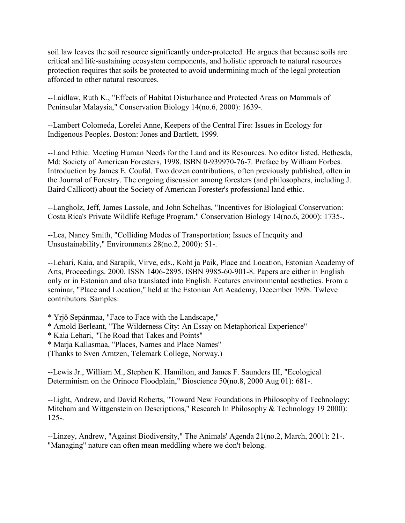soil law leaves the soil resource significantly under-protected. He argues that because soils are critical and life-sustaining ecosystem components, and holistic approach to natural resources protection requires that soils be protected to avoid undermining much of the legal protection afforded to other natural resources.

--Laidlaw, Ruth K., "Effects of Habitat Disturbance and Protected Areas on Mammals of Peninsular Malaysia," Conservation Biology 14(no.6, 2000): 1639-.

--Lambert Colomeda, Lorelei Anne, Keepers of the Central Fire: Issues in Ecology for Indigenous Peoples. Boston: Jones and Bartlett, 1999.

--Land Ethic: Meeting Human Needs for the Land and its Resources. No editor listed. Bethesda, Md: Society of American Foresters, 1998. ISBN 0-939970-76-7. Preface by William Forbes. Introduction by James E. Coufal. Two dozen contributions, often previously published, often in the Journal of Forestry. The ongoing discussion among foresters (and philosophers, including J. Baird Callicott) about the Society of American Forester's professional land ethic.

--Langholz, Jeff, James Lassole, and John Schelhas, "Incentives for Biological Conservation: Costa Rica's Private Wildlife Refuge Program," Conservation Biology 14(no.6, 2000): 1735-.

--Lea, Nancy Smith, "Colliding Modes of Transportation; Issues of Inequity and Unsustainability," Environments 28(no.2, 2000): 51-.

--Lehari, Kaia, and Sarapik, Virve, eds., Koht ja Paik, Place and Location, Estonian Academy of Arts, Proceedings. 2000. ISSN 1406-2895. ISBN 9985-60-901-8. Papers are either in English only or in Estonian and also translated into English. Features environmental aesthetics. From a seminar, "Place and Location," held at the Estonian Art Academy, December 1998. Twleve contributors. Samples:

- \* Yrjö Sepänmaa, "Face to Face with the Landscape,"
- \* Arnold Berleant, "The Wilderness City: An Essay on Metaphorical Experience"
- \* Kaia Lehari, "The Road that Takes and Points"
- \* Marja Kallasmaa, "Places, Names and Place Names"

(Thanks to Sven Arntzen, Telemark College, Norway.)

--Lewis Jr., William M., Stephen K. Hamilton, and James F. Saunders III, "Ecological Determinism on the Orinoco Floodplain," Bioscience 50(no.8, 2000 Aug 01): 681-.

--Light, Andrew, and David Roberts, "Toward New Foundations in Philosophy of Technology: Mitcham and Wittgenstein on Descriptions," Research In Philosophy & Technology 19 2000): 125-.

--Linzey, Andrew, "Against Biodiversity," The Animals' Agenda 21(no.2, March, 2001): 21-. "Managing" nature can often mean meddling where we don't belong.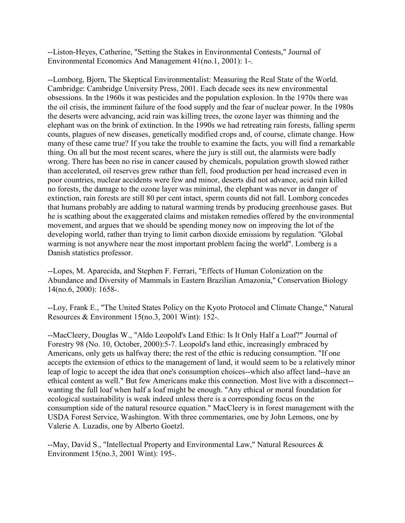--Liston-Heyes, Catherine, "Setting the Stakes in Environmental Contests," Journal of Environmental Economics And Management 41(no.1, 2001): 1-.

--Lomborg, Bjorn, The Skeptical Environmentalist: Measuring the Real State of the World. Cambridge: Cambridge University Press, 2001. Each decade sees its new environmental obsessions. In the 1960s it was pesticides and the population explosion. In the 1970s there was the oil crisis, the imminent failure of the food supply and the fear of nuclear power. In the 1980s the deserts were advancing, acid rain was killing trees, the ozone layer was thinning and the elephant was on the brink of extinction. In the 1990s we had retreating rain forests, falling sperm counts, plagues of new diseases, genetically modified crops and, of course, climate change. How many of these came true? If you take the trouble to examine the facts, you will find a remarkable thing. On all but the most recent scares, where the jury is still out, the alarmists were badly wrong. There has been no rise in cancer caused by chemicals, population growth slowed rather than accelerated, oil reserves grew rather than fell, food production per head increased even in poor countries, nuclear accidents were few and minor, deserts did not advance, acid rain killed no forests, the damage to the ozone layer was minimal, the elephant was never in danger of extinction, rain forests are still 80 per cent intact, sperm counts did not fall. Lomborg concedes that humans probably are adding to natural warming trends by producing greenhouse gases. But he is scathing about the exaggerated claims and mistaken remedies offered by the environmental movement, and argues that we should be spending money now on improving the lot of the developing world, rather than trying to limit carbon dioxide emissions by regulation. "Global warming is not anywhere near the most important problem facing the world". Lomberg is a Danish statistics professor.

--Lopes, M. Aparecida, and Stephen F. Ferrari, "Effects of Human Colonization on the Abundance and Diversity of Mammals in Eastern Brazilian Amazonia," Conservation Biology 14(no.6, 2000): 1658-.

--Loy, Frank E., "The United States Policy on the Kyoto Protocol and Climate Change," Natural Resources & Environment 15(no.3, 2001 Wint): 152-.

--MacCleery, Douglas W., "Aldo Leopold's Land Ethic: Is It Only Half a Loaf?" Journal of Forestry 98 (No. 10, October, 2000):5-7. Leopold's land ethic, increasingly embraced by Americans, only gets us halfway there; the rest of the ethic is reducing consumption. "If one accepts the extension of ethics to the management of land, it would seem to be a relatively minor leap of logic to accept the idea that one's consumption choices--which also affect land--have an ethical content as well." But few Americans make this connection. Most live with a disconnect- wanting the full loaf when half a loaf might be enough. "Any ethical or moral foundation for ecological sustainability is weak indeed unless there is a corresponding focus on the consumption side of the natural resource equation." MacCleery is in forest management with the USDA Forest Service, Washington. With three commentaries, one by John Lemons, one by Valerie A. Luzadis, one by Alberto Goetzl.

--May, David S., "Intellectual Property and Environmental Law," Natural Resources & Environment 15(no.3, 2001 Wint): 195-.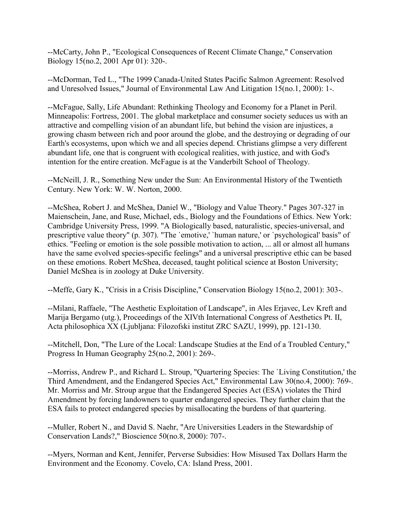--McCarty, John P., "Ecological Consequences of Recent Climate Change," Conservation Biology 15(no.2, 2001 Apr 01): 320-.

--McDorman, Ted L., "The 1999 Canada-United States Pacific Salmon Agreement: Resolved and Unresolved Issues," Journal of Environmental Law And Litigation 15(no.1, 2000): 1-.

--McFague, Sally, Life Abundant: Rethinking Theology and Economy for a Planet in Peril. Minneapolis: Fortress, 2001. The global marketplace and consumer society seduces us with an attractive and compelling vision of an abundant life, but behind the vision are injustices, a growing chasm between rich and poor around the globe, and the destroying or degrading of our Earth's ecosystems, upon which we and all species depend. Christians glimpse a very different abundant life, one that is congruent with ecological realities, with justice, and with God's intention for the entire creation. McFague is at the Vanderbilt School of Theology.

--McNeill, J. R., Something New under the Sun: An Environmental History of the Twentieth Century. New York: W. W. Norton, 2000.

--McShea, Robert J. and McShea, Daniel W., "Biology and Value Theory." Pages 307-327 in Maienschein, Jane, and Ruse, Michael, eds., Biology and the Foundations of Ethics. New York: Cambridge University Press, 1999. "A Biologically based, naturalistic, species-universal, and prescriptive value theory" (p. 307). "The `emotive,' `human nature,' or `psychological' basis" of ethics. "Feeling or emotion is the sole possible motivation to action, ... all or almost all humans have the same evolved species-specific feelings" and a universal prescriptive ethic can be based on these emotions. Robert McShea, deceased, taught political science at Boston University; Daniel McShea is in zoology at Duke University.

--Meffe, Gary K., "Crisis in a Crisis Discipline," Conservation Biology 15(no.2, 2001): 303-.

--Milani, Raffaele, "The Aesthetic Exploitation of Landscape", in Ales Erjavec, Lev Kreft and Marija Bergamo (utg.), Proceedings of the XIVth International Congress of Aesthetics Pt. II, Acta philosophica XX (Ljubljana: Filozofski institut ZRC SAZU, 1999), pp. 121-130.

--Mitchell, Don, "The Lure of the Local: Landscape Studies at the End of a Troubled Century," Progress In Human Geography 25(no.2, 2001): 269-.

--Morriss, Andrew P., and Richard L. Stroup, "Quartering Species: The `Living Constitution,' the Third Amendment, and the Endangered Species Act," Environmental Law 30(no.4, 2000): 769-. Mr. Morriss and Mr. Stroup argue that the Endangered Species Act (ESA) violates the Third Amendment by forcing landowners to quarter endangered species. They further claim that the ESA fails to protect endangered species by misallocating the burdens of that quartering.

--Muller, Robert N., and David S. Naehr, "Are Universities Leaders in the Stewardship of Conservation Lands?," Bioscience 50(no.8, 2000): 707-.

--Myers, Norman and Kent, Jennifer, Perverse Subsidies: How Misused Tax Dollars Harm the Environment and the Economy. Covelo, CA: Island Press, 2001.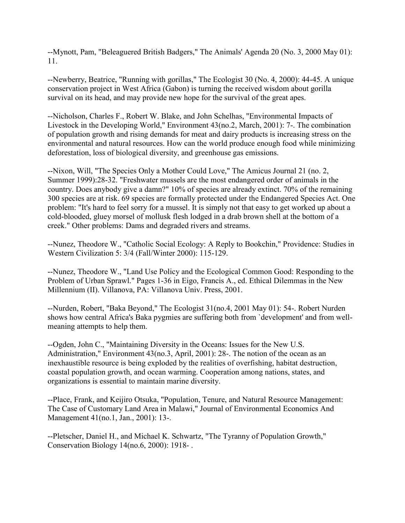--Mynott, Pam, "Beleaguered British Badgers," The Animals' Agenda 20 (No. 3, 2000 May 01): 11.

--Newberry, Beatrice, "Running with gorillas," The Ecologist 30 (No. 4, 2000): 44-45. A unique conservation project in West Africa (Gabon) is turning the received wisdom about gorilla survival on its head, and may provide new hope for the survival of the great apes.

--Nicholson, Charles F., Robert W. Blake, and John Schelhas, "Environmental Impacts of Livestock in the Developing World," Environment 43(no.2, March, 2001): 7-. The combination of population growth and rising demands for meat and dairy products is increasing stress on the environmental and natural resources. How can the world produce enough food while minimizing deforestation, loss of biological diversity, and greenhouse gas emissions.

--Nixon, Will, "The Species Only a Mother Could Love," The Amicus Journal 21 (no. 2, Summer 1999):28-32. "Freshwater mussels are the most endangered order of animals in the country. Does anybody give a damn?" 10% of species are already extinct. 70% of the remaining 300 species are at risk. 69 species are formally protected under the Endangered Species Act. One problem: "It's hard to feel sorry for a mussel. It is simply not that easy to get worked up about a cold-blooded, gluey morsel of mollusk flesh lodged in a drab brown shell at the bottom of a creek." Other problems: Dams and degraded rivers and streams.

--Nunez, Theodore W., "Catholic Social Ecology: A Reply to Bookchin," Providence: Studies in Western Civilization 5: 3/4 (Fall/Winter 2000): 115-129.

--Nunez, Theodore W., "Land Use Policy and the Ecological Common Good: Responding to the Problem of Urban Sprawl." Pages 1-36 in Eigo, Francis A., ed. Ethical Dilemmas in the New Millennium (II). Villanova, PA: Villanova Univ. Press, 2001.

--Nurden, Robert, "Baka Beyond," The Ecologist 31(no.4, 2001 May 01): 54-. Robert Nurden shows how central Africa's Baka pygmies are suffering both from `development' and from wellmeaning attempts to help them.

--Ogden, John C., "Maintaining Diversity in the Oceans: Issues for the New U.S. Administration," Environment 43(no.3, April, 2001): 28-. The notion of the ocean as an inexhaustible resource is being exploded by the realities of overfishing, habitat destruction, coastal population growth, and ocean warming. Cooperation among nations, states, and organizations is essential to maintain marine diversity.

--Place, Frank, and Keijiro Otsuka, "Population, Tenure, and Natural Resource Management: The Case of Customary Land Area in Malawi," Journal of Environmental Economics And Management 41(no.1, Jan., 2001): 13-.

--Pletscher, Daniel H., and Michael K. Schwartz, "The Tyranny of Population Growth," Conservation Biology 14(no.6, 2000): 1918- .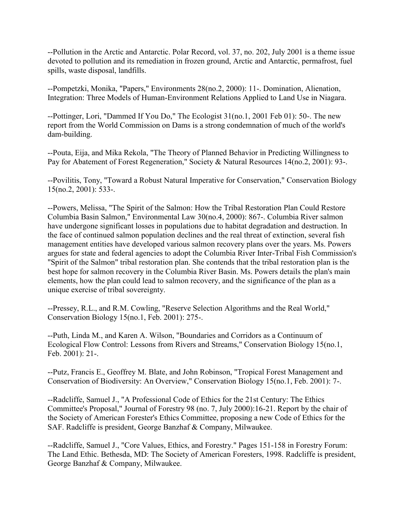--Pollution in the Arctic and Antarctic. Polar Record, vol. 37, no. 202, July 2001 is a theme issue devoted to pollution and its remediation in frozen ground, Arctic and Antarctic, permafrost, fuel spills, waste disposal, landfills.

--Pompetzki, Monika, "Papers," Environments 28(no.2, 2000): 11-. Domination, Alienation, Integration: Three Models of Human-Environment Relations Applied to Land Use in Niagara.

--Pottinger, Lori, "Dammed If You Do," The Ecologist 31(no.1, 2001 Feb 01): 50-. The new report from the World Commission on Dams is a strong condemnation of much of the world's dam-building.

--Pouta, Eija, and Mika Rekola, "The Theory of Planned Behavior in Predicting Willingness to Pay for Abatement of Forest Regeneration," Society & Natural Resources 14(no.2, 2001): 93-.

--Povilitis, Tony, "Toward a Robust Natural Imperative for Conservation," Conservation Biology 15(no.2, 2001): 533-.

--Powers, Melissa, "The Spirit of the Salmon: How the Tribal Restoration Plan Could Restore Columbia Basin Salmon," Environmental Law 30(no.4, 2000): 867-. Columbia River salmon have undergone significant losses in populations due to habitat degradation and destruction. In the face of continued salmon population declines and the real threat of extinction, several fish management entities have developed various salmon recovery plans over the years. Ms. Powers argues for state and federal agencies to adopt the Columbia River Inter-Tribal Fish Commission's "Spirit of the Salmon" tribal restoration plan. She contends that the tribal restoration plan is the best hope for salmon recovery in the Columbia River Basin. Ms. Powers details the plan's main elements, how the plan could lead to salmon recovery, and the significance of the plan as a unique exercise of tribal sovereignty.

--Pressey, R.L., and R.M. Cowling, "Reserve Selection Algorithms and the Real World," Conservation Biology 15(no.1, Feb. 2001): 275-.

--Puth, Linda M., and Karen A. Wilson, "Boundaries and Corridors as a Continuum of Ecological Flow Control: Lessons from Rivers and Streams," Conservation Biology 15(no.1, Feb. 2001): 21-.

--Putz, Francis E., Geoffrey M. Blate, and John Robinson, "Tropical Forest Management and Conservation of Biodiversity: An Overview," Conservation Biology 15(no.1, Feb. 2001): 7-.

--Radcliffe, Samuel J., "A Professional Code of Ethics for the 21st Century: The Ethics Committee's Proposal," Journal of Forestry 98 (no. 7, July 2000):16-21. Report by the chair of the Society of American Forester's Ethics Committee, proposing a new Code of Ethics for the SAF. Radcliffe is president, George Banzhaf & Company, Milwaukee.

--Radcliffe, Samuel J., "Core Values, Ethics, and Forestry." Pages 151-158 in Forestry Forum: The Land Ethic. Bethesda, MD: The Society of American Foresters, 1998. Radcliffe is president, George Banzhaf & Company, Milwaukee.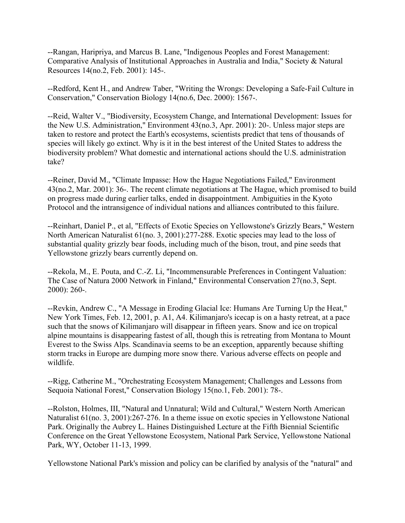--Rangan, Haripriya, and Marcus B. Lane, "Indigenous Peoples and Forest Management: Comparative Analysis of Institutional Approaches in Australia and India," Society & Natural Resources 14(no.2, Feb. 2001): 145-.

--Redford, Kent H., and Andrew Taber, "Writing the Wrongs: Developing a Safe-Fail Culture in Conservation," Conservation Biology 14(no.6, Dec. 2000): 1567-.

--Reid, Walter V., "Biodiversity, Ecosystem Change, and International Development: Issues for the New U.S. Administration," Environment 43(no.3, Apr. 2001): 20-. Unless major steps are taken to restore and protect the Earth's ecosystems, scientists predict that tens of thousands of species will likely go extinct. Why is it in the best interest of the United States to address the biodiversity problem? What domestic and international actions should the U.S. administration take?

--Reiner, David M., "Climate Impasse: How the Hague Negotiations Failed," Environment 43(no.2, Mar. 2001): 36-. The recent climate negotiations at The Hague, which promised to build on progress made during earlier talks, ended in disappointment. Ambiguities in the Kyoto Protocol and the intransigence of individual nations and alliances contributed to this failure.

--Reinhart, Daniel P., et al, "Effects of Exotic Species on Yellowstone's Grizzly Bears," Western North American Naturalist 61(no. 3, 2001):277-288. Exotic species may lead to the loss of substantial quality grizzly bear foods, including much of the bison, trout, and pine seeds that Yellowstone grizzly bears currently depend on.

--Rekola, M., E. Pouta, and C.-Z. Li, "Incommensurable Preferences in Contingent Valuation: The Case of Natura 2000 Network in Finland," Environmental Conservation 27(no.3, Sept. 2000): 260-.

--Revkin, Andrew C., "A Message in Eroding Glacial Ice: Humans Are Turning Up the Heat," New York Times, Feb. 12, 2001, p. A1, A4. Kilimanjaro's icecap is on a hasty retreat, at a pace such that the snows of Kilimanjaro will disappear in fifteen years. Snow and ice on tropical alpine mountains is disappearing fastest of all, though this is retreating from Montana to Mount Everest to the Swiss Alps. Scandinavia seems to be an exception, apparently because shifting storm tracks in Europe are dumping more snow there. Various adverse effects on people and wildlife.

--Rigg, Catherine M., "Orchestrating Ecosystem Management; Challenges and Lessons from Sequoia National Forest," Conservation Biology 15(no.1, Feb. 2001): 78-.

--Rolston, Holmes, III, "Natural and Unnatural; Wild and Cultural," Western North American Naturalist 61(no. 3, 2001):267-276. In a theme issue on exotic species in Yellowstone National Park. Originally the Aubrey L. Haines Distinguished Lecture at the Fifth Biennial Scientific Conference on the Great Yellowstone Ecosystem, National Park Service, Yellowstone National Park, WY, October 11-13, 1999.

Yellowstone National Park's mission and policy can be clarified by analysis of the "natural" and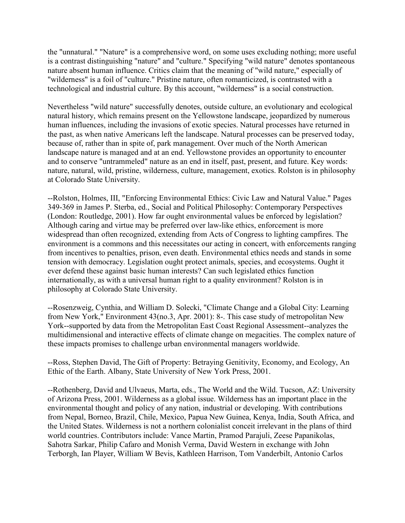the "unnatural." "Nature" is a comprehensive word, on some uses excluding nothing; more useful is a contrast distinguishing "nature" and "culture." Specifying "wild nature" denotes spontaneous nature absent human influence. Critics claim that the meaning of "wild nature," especially of "wilderness" is a foil of "culture." Pristine nature, often romanticized, is contrasted with a technological and industrial culture. By this account, "wilderness" is a social construction.

Nevertheless "wild nature" successfully denotes, outside culture, an evolutionary and ecological natural history, which remains present on the Yellowstone landscape, jeopardized by numerous human influences, including the invasions of exotic species. Natural processes have returned in the past, as when native Americans left the landscape. Natural processes can be preserved today, because of, rather than in spite of, park management. Over much of the North American landscape nature is managed and at an end. Yellowstone provides an opportunity to encounter and to conserve "untrammeled" nature as an end in itself, past, present, and future. Key words: nature, natural, wild, pristine, wilderness, culture, management, exotics. Rolston is in philosophy at Colorado State University.

--Rolston, Holmes, III, "Enforcing Environmental Ethics: Civic Law and Natural Value." Pages 349-369 in James P. Sterba, ed., Social and Political Philosophy: Contemporary Perspectives (London: Routledge, 2001). How far ought environmental values be enforced by legislation? Although caring and virtue may be preferred over law-like ethics, enforcement is more widespread than often recognized, extending from Acts of Congress to lighting campfires. The environment is a commons and this necessitates our acting in concert, with enforcements ranging from incentives to penalties, prison, even death. Environmental ethics needs and stands in some tension with democracy. Legislation ought protect animals, species, and ecosystems. Ought it ever defend these against basic human interests? Can such legislated ethics function internationally, as with a universal human right to a quality environment? Rolston is in philosophy at Colorado State University.

--Rosenzweig, Cynthia, and William D. Solecki, "Climate Change and a Global City: Learning from New York," Environment 43(no.3, Apr. 2001): 8-. This case study of metropolitan New York--supported by data from the Metropolitan East Coast Regional Assessment--analyzes the multidimensional and interactive effects of climate change on megacities. The complex nature of these impacts promises to challenge urban environmental managers worldwide.

--Ross, Stephen David, The Gift of Property: Betraying Genitivity, Economy, and Ecology, An Ethic of the Earth. Albany, State University of New York Press, 2001.

--Rothenberg, David and Ulvaeus, Marta, eds., The World and the Wild. Tucson, AZ: University of Arizona Press, 2001. Wilderness as a global issue. Wilderness has an important place in the environmental thought and policy of any nation, industrial or developing. With contributions from Nepal, Borneo, Brazil, Chile, Mexico, Papua New Guinea, Kenya, India, South Africa, and the United States. Wilderness is not a northern colonialist conceit irrelevant in the plans of third world countries. Contributors include: Vance Martin, Pramod Parajuli, Zeese Papanikolas, Sahotra Sarkar, Philip Cafaro and Monish Verma, David Western in exchange with John Terborgh, Ian Player, William W Bevis, Kathleen Harrison, Tom Vanderbilt, Antonio Carlos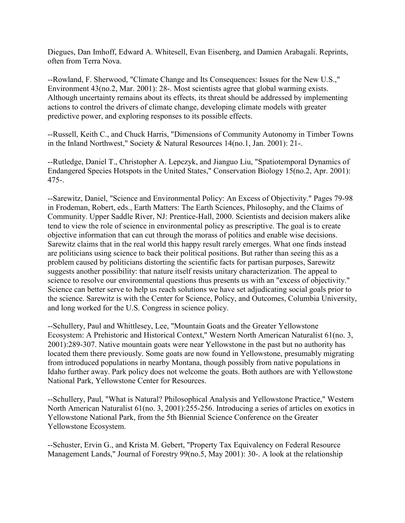Diegues, Dan Imhoff, Edward A. Whitesell, Evan Eisenberg, and Damien Arabagali. Reprints, often from Terra Nova.

--Rowland, F. Sherwood, "Climate Change and Its Consequences: Issues for the New U.S.," Environment 43(no.2, Mar. 2001): 28-. Most scientists agree that global warming exists. Although uncertainty remains about its effects, its threat should be addressed by implementing actions to control the drivers of climate change, developing climate models with greater predictive power, and exploring responses to its possible effects.

--Russell, Keith C., and Chuck Harris, "Dimensions of Community Autonomy in Timber Towns in the Inland Northwest," Society & Natural Resources 14(no.1, Jan. 2001): 21-.

--Rutledge, Daniel T., Christopher A. Lepczyk, and Jianguo Liu, "Spatiotemporal Dynamics of Endangered Species Hotspots in the United States," Conservation Biology 15(no.2, Apr. 2001): 475-.

--Sarewitz, Daniel, "Science and Environmental Policy: An Excess of Objectivity." Pages 79-98 in Frodeman, Robert, eds., Earth Matters: The Earth Sciences, Philosophy, and the Claims of Community. Upper Saddle River, NJ: Prentice-Hall, 2000. Scientists and decision makers alike tend to view the role of science in environmental policy as prescriptive. The goal is to create objective information that can cut through the morass of politics and enable wise decisions. Sarewitz claims that in the real world this happy result rarely emerges. What one finds instead are politicians using science to back their political positions. But rather than seeing this as a problem caused by politicians distorting the scientific facts for partisan purposes, Sarewitz suggests another possibility: that nature itself resists unitary characterization. The appeal to science to resolve our environmental questions thus presents us with an "excess of objectivity." Science can better serve to help us reach solutions we have set adjudicating social goals prior to the science. Sarewitz is with the Center for Science, Policy, and Outcomes, Columbia University, and long worked for the U.S. Congress in science policy.

--Schullery, Paul and Whittlesey, Lee, "Mountain Goats and the Greater Yellowstone Ecosystem: A Prehistoric and Historical Context," Western North American Naturalist 61(no. 3, 2001):289-307. Native mountain goats were near Yellowstone in the past but no authority has located them there previously. Some goats are now found in Yellowstone, presumably migrating from introduced populations in nearby Montana, though possibly from native populations in Idaho further away. Park policy does not welcome the goats. Both authors are with Yellowstone National Park, Yellowstone Center for Resources.

--Schullery, Paul, "What is Natural? Philosophical Analysis and Yellowstone Practice," Western North American Naturalist 61(no. 3, 2001):255-256. Introducing a series of articles on exotics in Yellowstone National Park, from the 5th Biennial Science Conference on the Greater Yellowstone Ecosystem.

--Schuster, Ervin G., and Krista M. Gebert, "Property Tax Equivalency on Federal Resource Management Lands," Journal of Forestry 99(no.5, May 2001): 30-. A look at the relationship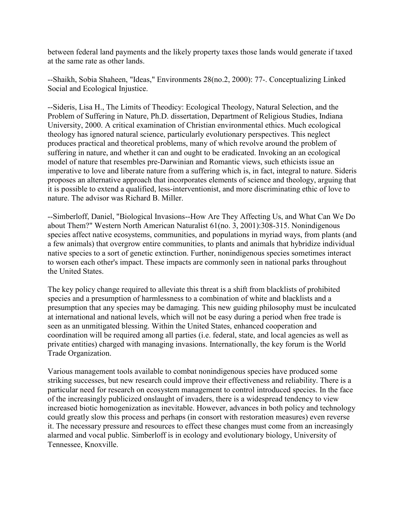between federal land payments and the likely property taxes those lands would generate if taxed at the same rate as other lands.

--Shaikh, Sobia Shaheen, "Ideas," Environments 28(no.2, 2000): 77-. Conceptualizing Linked Social and Ecological Injustice.

--Sideris, Lisa H., The Limits of Theodicy: Ecological Theology, Natural Selection, and the Problem of Suffering in Nature, Ph.D. dissertation, Department of Religious Studies, Indiana University, 2000. A critical examination of Christian environmental ethics. Much ecological theology has ignored natural science, particularly evolutionary perspectives. This neglect produces practical and theoretical problems, many of which revolve around the problem of suffering in nature, and whether it can and ought to be eradicated. Invoking an an ecological model of nature that resembles pre-Darwinian and Romantic views, such ethicists issue an imperative to love and liberate nature from a suffering which is, in fact, integral to nature. Sideris proposes an alternative approach that incorporates elements of science and theology, arguing that it is possible to extend a qualified, less-interventionist, and more discriminating ethic of love to nature. The advisor was Richard B. Miller.

--Simberloff, Daniel, "Biological Invasions--How Are They Affecting Us, and What Can We Do about Them?" Western North American Naturalist 61(no. 3, 2001):308-315. Nonindigenous species affect native ecosystems, communities, and populations in myriad ways, from plants (and a few animals) that overgrow entire communities, to plants and animals that hybridize individual native species to a sort of genetic extinction. Further, nonindigenous species sometimes interact to worsen each other's impact. These impacts are commonly seen in national parks throughout the United States.

The key policy change required to alleviate this threat is a shift from blacklists of prohibited species and a presumption of harmlessness to a combination of white and blacklists and a presumption that any species may be damaging. This new guiding philosophy must be inculcated at international and national levels, which will not be easy during a period when free trade is seen as an unmitigated blessing. Within the United States, enhanced cooperation and coordination will be required among all parties (i.e. federal, state, and local agencies as well as private entities) charged with managing invasions. Internationally, the key forum is the World Trade Organization.

Various management tools available to combat nonindigenous species have produced some striking successes, but new research could improve their effectiveness and reliability. There is a particular need for research on ecosystem management to control introduced species. In the face of the increasingly publicized onslaught of invaders, there is a widespread tendency to view increased biotic homogenization as inevitable. However, advances in both policy and technology could greatly slow this process and perhaps (in consort with restoration measures) even reverse it. The necessary pressure and resources to effect these changes must come from an increasingly alarmed and vocal public. Simberloff is in ecology and evolutionary biology, University of Tennessee, Knoxville.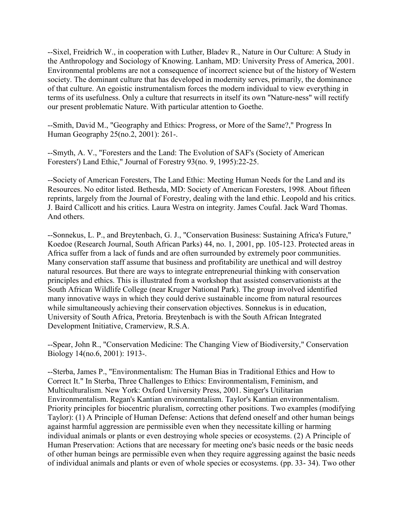--Sixel, Freidrich W., in cooperation with Luther, Bladev R., Nature in Our Culture: A Study in the Anthropology and Sociology of Knowing. Lanham, MD: University Press of America, 2001. Environmental problems are not a consequence of incorrect science but of the history of Western society. The dominant culture that has developed in modernity serves, primarily, the dominance of that culture. An egoistic instrumentalism forces the modern individual to view everything in terms of its usefulness. Only a culture that resurrects in itself its own "Nature-ness" will rectify our present problematic Nature. With particular attention to Goethe.

--Smith, David M., "Geography and Ethics: Progress, or More of the Same?," Progress In Human Geography 25(no.2, 2001): 261-.

--Smyth, A. V., "Foresters and the Land: The Evolution of SAF's (Society of American Foresters') Land Ethic," Journal of Forestry 93(no. 9, 1995):22-25.

--Society of American Foresters, The Land Ethic: Meeting Human Needs for the Land and its Resources. No editor listed. Bethesda, MD: Society of American Foresters, 1998. About fifteen reprints, largely from the Journal of Forestry, dealing with the land ethic. Leopold and his critics. J. Baird Callicott and his critics. Laura Westra on integrity. James Coufal. Jack Ward Thomas. And others.

--Sonnekus, L. P., and Breytenbach, G. J., "Conservation Business: Sustaining Africa's Future," Koedoe (Research Journal, South African Parks) 44, no. 1, 2001, pp. 105-123. Protected areas in Africa suffer from a lack of funds and are often surrounded by extremely poor communities. Many conservation staff assume that business and profitability are unethical and will destroy natural resources. But there are ways to integrate entrepreneurial thinking with conservation principles and ethics. This is illustrated from a workshop that assisted conservationists at the South African Wildlife College (near Kruger National Park). The group involved identified many innovative ways in which they could derive sustainable income from natural resources while simultaneously achieving their conservation objectives. Sonnekus is in education, University of South Africa, Pretoria. Breytenbach is with the South African Integrated Development Initiative, Cramerview, R.S.A.

--Spear, John R., "Conservation Medicine: The Changing View of Biodiversity," Conservation Biology 14(no.6, 2001): 1913-.

--Sterba, James P., "Environmentalism: The Human Bias in Traditional Ethics and How to Correct It." In Sterba, Three Challenges to Ethics: Environmentalism, Feminism, and Multiculturalism. New York: Oxford University Press, 2001. Singer's Utilitarian Environmentalism. Regan's Kantian environmentalism. Taylor's Kantian environmentalism. Priority principles for biocentric pluralism, correcting other positions. Two examples (modifying Taylor): (1) A Principle of Human Defense: Actions that defend oneself and other human beings against harmful aggression are permissible even when they necessitate killing or harming individual animals or plants or even destroying whole species or ecosystems. (2) A Principle of Human Preservation: Actions that are necessary for meeting one's basic needs or the basic needs of other human beings are permissible even when they require aggressing against the basic needs of individual animals and plants or even of whole species or ecosystems. (pp. 33- 34). Two other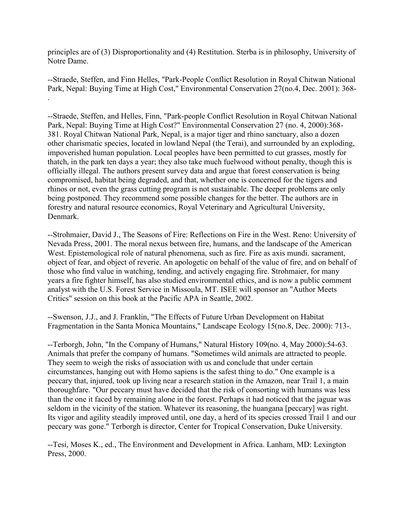principles are of (3) Disproportionality and (4) Restitution. Sterba is in philosophy, University of Notre Dame.

--Straede, Steffen, and Finn Helles, "Park-People Conflict Resolution in Royal Chitwan National Park, Nepal: Buying Time at High Cost," Environmental Conservation 27(no.4, Dec. 2001): 368- .

--Straede, Steffen, and Helles, Finn, "Park-people Conflict Resolution in Royal Chitwan National Park, Nepal: Buying Time at High Cost?" Environmental Conservation 27 (no. 4, 2000):368- 381. Royal Chitwan National Park, Nepal, is a major tiger and rhino sanctuary, also a dozen other charismatic species, located in lowland Nepal (the Terai), and surrounded by an exploding, impoverished human population. Local peoples have been permitted to cut grasses, mostly for thatch, in the park ten days a year; they also take much fuelwood without penalty, though this is officially illegal. The authors present survey data and argue that forest conservation is being compromised, habitat being degraded, and that, whether one is concerned for the tigers and rhinos or not, even the grass cutting program is not sustainable. The deeper problems are only being postponed. They recommend some possible changes for the better. The authors are in forestry and natural resource economics, Royal Veterinary and Agricultural University, Denmark.

--Strohmaier, David J., The Seasons of Fire: Reflections on Fire in the West. Reno: University of Nevada Press, 2001. The moral nexus between fire, humans, and the landscape of the American West. Epistemological role of natural phenomena, such as fire. Fire as axis mundi. sacrament, object of fear, and object of reverie. An apologetic on behalf of the value of fire, and on behalf of those who find value in watching, tending, and actively engaging fire. Strohmaier, for many years a fire fighter himself, has also studied environmental ethics, and is now a public comment analyst with the U.S. Forest Service in Missoula, MT. ISEE will sponsor an "Author Meets Critics" session on this book at the Pacific APA in Seattle, 2002.

--Swenson, J.J., and J. Franklin, "The Effects of Future Urban Development on Habitat Fragmentation in the Santa Monica Mountains," Landscape Ecology 15(no.8, Dec. 2000): 713-.

--Terborgh, John, "In the Company of Humans," Natural History 109(no. 4, May 2000):54-63. Animals that prefer the company of humans. "Sometimes wild animals are attracted to people. They seem to weigh the risks of association with us and conclude that under certain circumstances, hanging out with Homo sapiens is the safest thing to do." One example is a peccary that, injured, took up living near a research station in the Amazon, near Trail 1, a main thoroughfare. "Our peccary must have decided that the risk of consorting with humans was less than the one it faced by remaining alone in the forest. Perhaps it had noticed that the jaguar was seldom in the vicinity of the station. Whatever its reasoning, the huangana [peccary] was right. Its vigor and agility steadily improved until, one day, a herd of its species crossed Trail 1 and our peccary was gone." Terborgh is director, Center for Tropical Conservation, Duke University.

--Tesi, Moses K., ed., The Environment and Development in Africa. Lanham, MD: Lexington Press, 2000.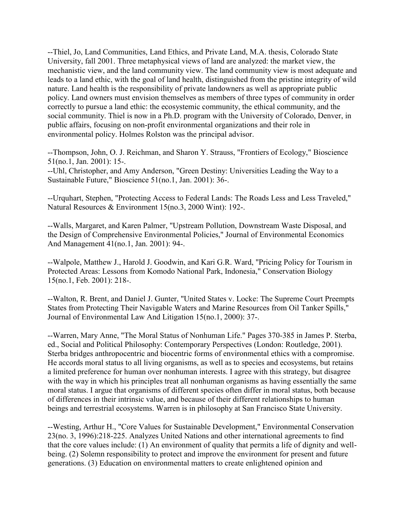--Thiel, Jo, Land Communities, Land Ethics, and Private Land, M.A. thesis, Colorado State University, fall 2001. Three metaphysical views of land are analyzed: the market view, the mechanistic view, and the land community view. The land community view is most adequate and leads to a land ethic, with the goal of land health, distinguished from the pristine integrity of wild nature. Land health is the responsibility of private landowners as well as appropriate public policy. Land owners must envision themselves as members of three types of community in order correctly to pursue a land ethic: the ecosystemic community, the ethical community, and the social community. Thiel is now in a Ph.D. program with the University of Colorado, Denver, in public affairs, focusing on non-profit environmental organizations and their role in environmental policy. Holmes Rolston was the principal advisor.

--Thompson, John, O. J. Reichman, and Sharon Y. Strauss, "Frontiers of Ecology," Bioscience 51(no.1, Jan. 2001): 15-.

--Uhl, Christopher, and Amy Anderson, "Green Destiny: Universities Leading the Way to a Sustainable Future," Bioscience 51(no.1, Jan. 2001): 36-.

--Urquhart, Stephen, "Protecting Access to Federal Lands: The Roads Less and Less Traveled," Natural Resources & Environment 15(no.3, 2000 Wint): 192-.

--Walls, Margaret, and Karen Palmer, "Upstream Pollution, Downstream Waste Disposal, and the Design of Comprehensive Environmental Policies," Journal of Environmental Economics And Management 41(no.1, Jan. 2001): 94-.

--Walpole, Matthew J., Harold J. Goodwin, and Kari G.R. Ward, "Pricing Policy for Tourism in Protected Areas: Lessons from Komodo National Park, Indonesia," Conservation Biology 15(no.1, Feb. 2001): 218-.

--Walton, R. Brent, and Daniel J. Gunter, "United States v. Locke: The Supreme Court Preempts States from Protecting Their Navigable Waters and Marine Resources from Oil Tanker Spills," Journal of Environmental Law And Litigation 15(no.1, 2000): 37-.

--Warren, Mary Anne, "The Moral Status of Nonhuman Life." Pages 370-385 in James P. Sterba, ed., Social and Political Philosophy: Contemporary Perspectives (London: Routledge, 2001). Sterba bridges anthropocentric and biocentric forms of environmental ethics with a compromise. He accords moral status to all living organisms, as well as to species and ecosystems, but retains a limited preference for human over nonhuman interests. I agree with this strategy, but disagree with the way in which his principles treat all nonhuman organisms as having essentially the same moral status. I argue that organisms of different species often differ in moral status, both because of differences in their intrinsic value, and because of their different relationships to human beings and terrestrial ecosystems. Warren is in philosophy at San Francisco State University.

--Westing, Arthur H., "Core Values for Sustainable Development," Environmental Conservation 23(no. 3, 1996):218-225. Analyzes United Nations and other international agreements to find that the core values include: (1) An environment of quality that permits a life of dignity and wellbeing. (2) Solemn responsibility to protect and improve the environment for present and future generations. (3) Education on environmental matters to create enlightened opinion and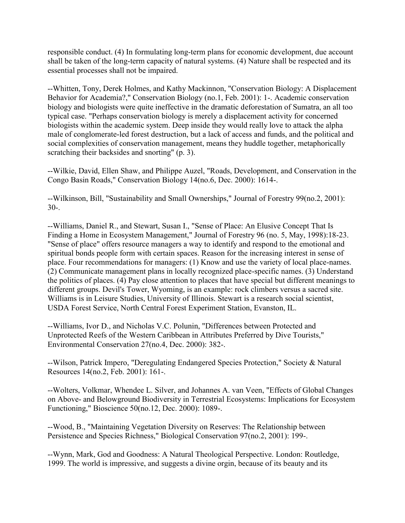responsible conduct. (4) In formulating long-term plans for economic development, due account shall be taken of the long-term capacity of natural systems. (4) Nature shall be respected and its essential processes shall not be impaired.

--Whitten, Tony, Derek Holmes, and Kathy Mackinnon, "Conservation Biology: A Displacement Behavior for Academia?," Conservation Biology (no.1, Feb. 2001): 1-. Academic conservation biology and biologists were quite ineffective in the dramatic deforestation of Sumatra, an all too typical case. "Perhaps conservation biology is merely a displacement activity for concerned biologists within the academic system. Deep inside they would really love to attack the alpha male of conglomerate-led forest destruction, but a lack of access and funds, and the political and social complexities of conservation management, means they huddle together, metaphorically scratching their backsides and snorting" (p. 3).

--Wilkie, David, Ellen Shaw, and Philippe Auzel, "Roads, Development, and Conservation in the Congo Basin Roads," Conservation Biology 14(no.6, Dec. 2000): 1614-.

--Wilkinson, Bill, "Sustainability and Small Ownerships," Journal of Forestry 99(no.2, 2001): 30-.

--Williams, Daniel R., and Stewart, Susan I., "Sense of Place: An Elusive Concept That Is Finding a Home in Ecosystem Management," Journal of Forestry 96 (no. 5, May, 1998):18-23. "Sense of place" offers resource managers a way to identify and respond to the emotional and spiritual bonds people form with certain spaces. Reason for the increasing interest in sense of place. Four recommendations for managers: (1) Know and use the variety of local place-names. (2) Communicate management plans in locally recognized place-specific names. (3) Understand the politics of places. (4) Pay close attention to places that have special but different meanings to different groups. Devil's Tower, Wyoming, is an example: rock climbers versus a sacred site. Williams is in Leisure Studies, University of Illinois. Stewart is a research social scientist, USDA Forest Service, North Central Forest Experiment Station, Evanston, IL.

--Williams, Ivor D., and Nicholas V.C. Polunin, "Differences between Protected and Unprotected Reefs of the Western Caribbean in Attributes Preferred by Dive Tourists," Environmental Conservation 27(no.4, Dec. 2000): 382-.

--Wilson, Patrick Impero, "Deregulating Endangered Species Protection," Society & Natural Resources 14(no.2, Feb. 2001): 161-.

--Wolters, Volkmar, Whendee L. Silver, and Johannes A. van Veen, "Effects of Global Changes on Above- and Belowground Biodiversity in Terrestrial Ecosystems: Implications for Ecosystem Functioning," Bioscience 50(no.12, Dec. 2000): 1089-.

--Wood, B., "Maintaining Vegetation Diversity on Reserves: The Relationship between Persistence and Species Richness," Biological Conservation 97(no.2, 2001): 199-.

--Wynn, Mark, God and Goodness: A Natural Theological Perspective. London: Routledge, 1999. The world is impressive, and suggests a divine orgin, because of its beauty and its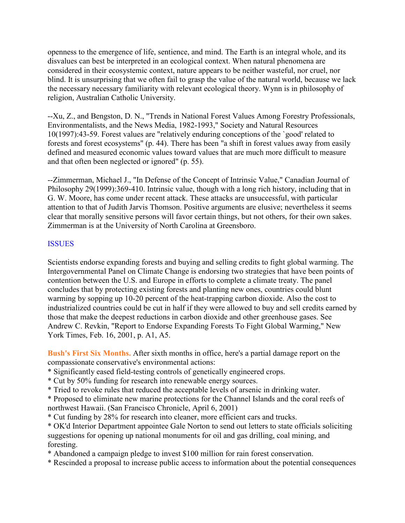openness to the emergence of life, sentience, and mind. The Earth is an integral whole, and its disvalues can best be interpreted in an ecological context. When natural phenomena are considered in their ecosystemic context, nature appears to be neither wasteful, nor cruel, nor blind. It is unsurprising that we often fail to grasp the value of the natural world, because we lack the necessary necessary familiarity with relevant ecological theory. Wynn is in philosophy of religion, Australian Catholic University.

--Xu, Z., and Bengston, D. N., "Trends in National Forest Values Among Forestry Professionals, Environmentalists, and the News Media, 1982-1993," Society and Natural Resources 10(1997):43-59. Forest values are "relatively enduring conceptions of the `good' related to forests and forest ecosystems" (p. 44). There has been "a shift in forest values away from easily defined and measured economic values toward values that are much more difficult to measure and that often been neglected or ignored" (p. 55).

--Zimmerman, Michael J., "In Defense of the Concept of Intrinsic Value," Canadian Journal of Philosophy 29(1999):369-410. Intrinsic value, though with a long rich history, including that in G. W. Moore, has come under recent attack. These attacks are unsuccessful, with particular attention to that of Judith Jarvis Thomson. Positive arguments are elusive; nevertheless it seems clear that morally sensitive persons will favor certain things, but not others, for their own sakes. Zimmerman is at the University of North Carolina at Greensboro.

## ISSUES

Scientists endorse expanding forests and buying and selling credits to fight global warming. The Intergovernmental Panel on Climate Change is endorsing two strategies that have been points of contention between the U.S. and Europe in efforts to complete a climate treaty. The panel concludes that by protecting existing forests and planting new ones, countries could blunt warming by sopping up 10-20 percent of the heat-trapping carbon dioxide. Also the cost to industrialized countries could be cut in half if they were allowed to buy and sell credits earned by those that make the deepest reductions in carbon dioxide and other greenhouse gases. See Andrew C. Revkin, "Report to Endorse Expanding Forests To Fight Global Warming," New York Times, Feb. 16, 2001, p. A1, A5.

**Bush's First Six Months.** After sixth months in office, here's a partial damage report on the compassionate conservative's environmental actions:

- \* Significantly eased field-testing controls of genetically engineered crops.
- \* Cut by 50% funding for research into renewable energy sources.
- \* Tried to revoke rules that reduced the acceptable levels of arsenic in drinking water.

\* Proposed to eliminate new marine protections for the Channel Islands and the coral reefs of northwest Hawaii. (San Francisco Chronicle, April 6, 2001)

\* Cut funding by 28% for research into cleaner, more efficient cars and trucks.

\* OK'd Interior Department appointee Gale Norton to send out letters to state officials soliciting suggestions for opening up national monuments for oil and gas drilling, coal mining, and foresting.

\* Abandoned a campaign pledge to invest \$100 million for rain forest conservation.

\* Rescinded a proposal to increase public access to information about the potential consequences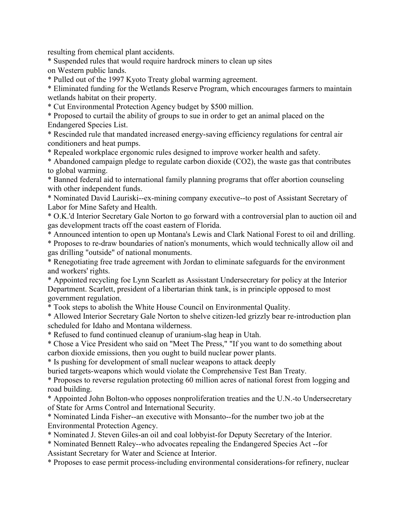resulting from chemical plant accidents.

\* Suspended rules that would require hardrock miners to clean up sites on Western public lands.

\* Pulled out of the 1997 Kyoto Treaty global warming agreement.

\* Eliminated funding for the Wetlands Reserve Program, which encourages farmers to maintain wetlands habitat on their property.

\* Cut Environmental Protection Agency budget by \$500 million.

\* Proposed to curtail the ability of groups to sue in order to get an animal placed on the Endangered Species List.

\* Rescinded rule that mandated increased energy-saving efficiency regulations for central air conditioners and heat pumps.

\* Repealed workplace ergonomic rules designed to improve worker health and safety.

\* Abandoned campaign pledge to regulate carbon dioxide (CO2), the waste gas that contributes to global warming.

\* Banned federal aid to international family planning programs that offer abortion counseling with other independent funds.

\* Nominated David Lauriski--ex-mining company executive--to post of Assistant Secretary of Labor for Mine Safety and Health.

\* O.K.'d Interior Secretary Gale Norton to go forward with a controversial plan to auction oil and gas development tracts off the coast eastern of Florida.

\* Announced intention to open up Montana's Lewis and Clark National Forest to oil and drilling.

\* Proposes to re-draw boundaries of nation's monuments, which would technically allow oil and gas drilling "outside" of national monuments.

\* Renegotiating free trade agreement with Jordan to eliminate safeguards for the environment and workers' rights.

\* Appointed recycling foe Lynn Scarlett as Assisstant Undersecretary for policy at the Interior Department. Scarlett, president of a libertarian think tank, is in principle opposed to most government regulation.

\* Took steps to abolish the White House Council on Environmental Quality.

\* Allowed Interior Secretary Gale Norton to shelve citizen-led grizzly bear re-introduction plan scheduled for Idaho and Montana wilderness.

\* Refused to fund continued cleanup of uranium-slag heap in Utah.

\* Chose a Vice President who said on "Meet The Press," "If you want to do something about carbon dioxide emissions, then you ought to build nuclear power plants.

\* Is pushing for development of small nuclear weapons to attack deeply

buried targets-weapons which would violate the Comprehensive Test Ban Treaty.

\* Proposes to reverse regulation protecting 60 million acres of national forest from logging and road building.

\* Appointed John Bolton-who opposes nonproliferation treaties and the U.N.-to Undersecretary of State for Arms Control and International Security.

\* Nominated Linda Fisher--an executive with Monsanto--for the number two job at the Environmental Protection Agency.

\* Nominated J. Steven Giles-an oil and coal lobbyist-for Deputy Secretary of the Interior.

\* Nominated Bennett Raley--who advocates repealing the Endangered Species Act --for Assistant Secretary for Water and Science at Interior.

\* Proposes to ease permit process-including environmental considerations-for refinery, nuclear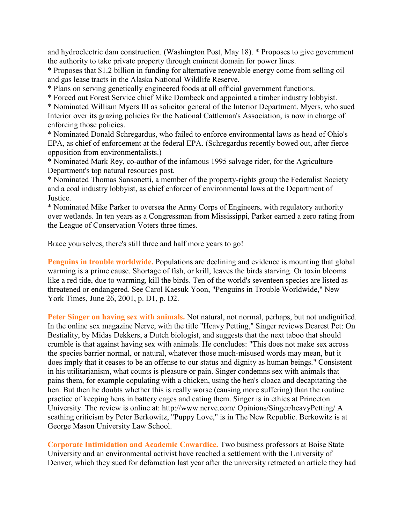and hydroelectric dam construction. (Washington Post, May 18). \* Proposes to give government the authority to take private property through eminent domain for power lines.

\* Proposes that \$1.2 billion in funding for alternative renewable energy come from selling oil and gas lease tracts in the Alaska National Wildlife Reserve.

\* Plans on serving genetically engineered foods at all official government functions.

\* Forced out Forest Service chief Mike Dombeck and appointed a timber industry lobbyist.

\* Nominated William Myers III as solicitor general of the Interior Department. Myers, who sued Interior over its grazing policies for the National Cattleman's Association, is now in charge of enforcing those policies.

\* Nominated Donald Schregardus, who failed to enforce environmental laws as head of Ohio's EPA, as chief of enforcement at the federal EPA. (Schregardus recently bowed out, after fierce opposition from environmentalists.)

\* Nominated Mark Rey, co-author of the infamous 1995 salvage rider, for the Agriculture Department's top natural resources post.

\* Nominated Thomas Sansonetti, a member of the property-rights group the Federalist Society and a coal industry lobbyist, as chief enforcer of environmental laws at the Department of Justice.

\* Nominated Mike Parker to oversea the Army Corps of Engineers, with regulatory authority over wetlands. In ten years as a Congressman from Mississippi, Parker earned a zero rating from the League of Conservation Voters three times.

Brace yourselves, there's still three and half more years to go!

**Penguins in trouble worldwide.** Populations are declining and evidence is mounting that global warming is a prime cause. Shortage of fish, or krill, leaves the birds starving. Or toxin blooms like a red tide, due to warming, kill the birds. Ten of the world's seventeen species are listed as threatened or endangered. See Carol Kaesuk Yoon, "Penguins in Trouble Worldwide," New York Times, June 26, 2001, p. D1, p. D2.

**Peter Singer on having sex with animals.** Not natural, not normal, perhaps, but not undignified. In the online sex magazine Nerve, with the title "Heavy Petting," Singer reviews Dearest Pet: On Bestiality, by Midas Dekkers, a Dutch biologist, and suggests that the next taboo that should crumble is that against having sex with animals. He concludes: "This does not make sex across the species barrier normal, or natural, whatever those much-misused words may mean, but it does imply that it ceases to be an offense to our status and dignity as human beings." Consistent in his utilitarianism, what counts is pleasure or pain. Singer condemns sex with animals that pains them, for example copulating with a chicken, using the hen's cloaca and decapitating the hen. But then he doubts whether this is really worse (causing more suffering) than the routine practice of keeping hens in battery cages and eating them. Singer is in ethics at Princeton University. The review is online at: http://www.nerve.com/ Opinions/Singer/heavyPetting/ A scathing criticism by Peter Berkowitz, "Puppy Love," is in The New Republic. Berkowitz is at George Mason University Law School.

**Corporate Intimidation and Academic Cowardice.** Two business professors at Boise State University and an environmental activist have reached a settlement with the University of Denver, which they sued for defamation last year after the university retracted an article they had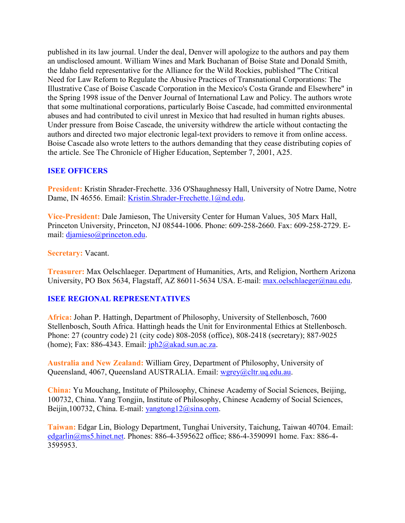published in its law journal. Under the deal, Denver will apologize to the authors and pay them an undisclosed amount. William Wines and Mark Buchanan of Boise State and Donald Smith, the Idaho field representative for the Alliance for the Wild Rockies, published "The Critical Need for Law Reform to Regulate the Abusive Practices of Transnational Corporations: The Illustrative Case of Boise Cascade Corporation in the Mexico's Costa Grande and Elsewhere" in the Spring 1998 issue of the Denver Journal of International Law and Policy. The authors wrote that some multinational corporations, particularly Boise Cascade, had committed environmental abuses and had contributed to civil unrest in Mexico that had resulted in human rights abuses. Under pressure from Boise Cascade, the university withdrew the article without contacting the authors and directed two major electronic legal-text providers to remove it from online access. Boise Cascade also wrote letters to the authors demanding that they cease distributing copies of the article. See The Chronicle of Higher Education, September 7, 2001, A25.

## **ISEE OFFICERS**

**President:** Kristin Shrader-Frechette. 336 O'Shaughnessy Hall, University of Notre Dame, Notre Dame, IN 46556. Email: [Kristin.Shrader-Frechette.1@nd.edu.](mailto:Kristin.Shrader-Frechette.1@nd.edu)

**Vice-President:** Dale Jamieson, The University Center for Human Values, 305 Marx Hall, Princeton University, Princeton, NJ 08544-1006. Phone: 609-258-2660. Fax: 609-258-2729. Email: [djamieso@princeton.edu.](mailto:djamieso@princeton.edu)

#### **Secretary:** Vacant.

**Treasurer:** Max Oelschlaeger. Department of Humanities, Arts, and Religion, Northern Arizona University, PO Box 5634, Flagstaff, AZ 86011-5634 USA. E-mail: [max.oelschlaeger@nau.edu.](mailto:max.oelschlaeger@nau.edu)

## **ISEE REGIONAL REPRESENTATIVES**

**Africa:** Johan P. Hattingh, Department of Philosophy, University of Stellenbosch, 7600 Stellenbosch, South Africa. Hattingh heads the Unit for Environmental Ethics at Stellenbosch. Phone: 27 (country code) 21 (city code) 808-2058 (office), 808-2418 (secretary); 887-9025 (home); Fax: 886-4343. Email:  $iph2@akad.sun.ac.za$ .

**Australia and New Zealand:** William Grey, Department of Philosophy, University of Queensland, 4067, Queensland AUSTRALIA. Email: [wgrey@cltr.uq.edu.au.](mailto:wgrey@cltr.uq.edu.au)

**China:** Yu Mouchang, Institute of Philosophy, Chinese Academy of Social Sciences, Beijing, 100732, China. Yang Tongjin, Institute of Philosophy, Chinese Academy of Social Sciences, Beijin,100732, China. E-mail: [yangtong12@sina.com.](mailto:yangtong12@sina.com)

**Taiwan:** Edgar Lin, Biology Department, Tunghai University, Taichung, Taiwan 40704. Email: [edgarlin@ms5.hinet.net.](mailto:edgarlin@ms5.hinet.net) Phones: 886-4-3595622 office; 886-4-3590991 home. Fax: 886-4- 3595953.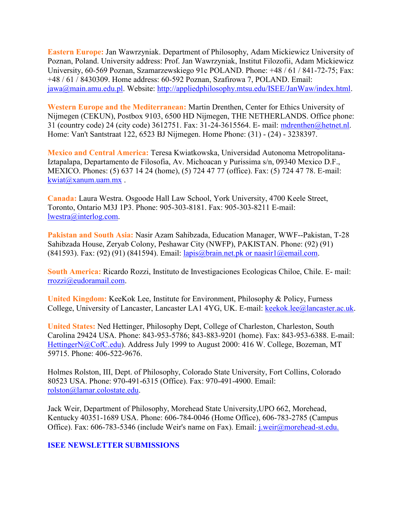**Eastern Europe:** Jan Wawrzyniak. Department of Philosophy, Adam Mickiewicz University of Poznan, Poland. University address: Prof. Jan Wawrzyniak, Institut Filozofii, Adam Mickiewicz University, 60-569 Poznan, Szamarzewskiego 91c POLAND. Phone: +48 / 61 / 841-72-75; Fax: +48 / 61 / 8430309. Home address: 60-592 Poznan, Szafirowa 7, POLAND. Email: [jawa@main.amu.edu.pl.](mailto:jawa@main.amu.edu.pl) Website: [http://appliedphilosophy.mtsu.edu/ISEE/JanWaw/index.html.](http://appliedphilosophy.mtsu.edu/ISEE/JanWaw/index.html)

**Western Europe and the Mediterranean:** Martin Drenthen, Center for Ethics University of Nijmegen (CEKUN), Postbox 9103, 6500 HD Nijmegen, THE NETHERLANDS. Office phone: 31 (country code) 24 (city code) 3612751. Fax: 31-24-3615564. E- mail: [mdrenthen@hetnet.nl.](mailto:mdrenthen@hetnet.nl) Home: Van't Santstraat 122, 6523 BJ Nijmegen. Home Phone: (31) - (24) - 3238397.

**Mexico and Central America:** Teresa Kwiatkowska, Universidad Autonoma Metropolitana-Iztapalapa, Departamento de Filosofia, Av. Michoacan y Purissima s/n, 09340 Mexico D.F., MEXICO. Phones: (5) 637 14 24 (home), (5) 724 47 77 (office). Fax: (5) 724 47 78. E-mail: [kwiat@xanum.uam.mx](mailto:kwiat@xanum.uam.mx) .

**Canada:** Laura Westra. Osgoode Hall Law School, York University, 4700 Keele Street, Toronto, Ontario M3J 1P3. Phone: 905-303-8181. Fax: 905-303-8211 E-mail: [lwestra@interlog.com.](mailto:lwestra@interlog.com)

**Pakistan and South Asia:** Nasir Azam Sahibzada, Education Manager, WWF--Pakistan, T-28 Sahibzada House, Zeryab Colony, Peshawar City (NWFP), PAKISTAN. Phone: (92) (91) (841593). Fax: (92) (91) (841594). Email: [lapis@brain.net.pk or naasir1@email.com.](mailto:lapis@brain.net.pk%20or%20naasir1@email.com)

**South America:** Ricardo Rozzi, Instituto de Investigaciones Ecologicas Chiloe, Chile. E- mail: [rrozzi@eudoramail.com.](mailto:rrozzi@eudoramail.com)

**United Kingdom:** KeeKok Lee, Institute for Environment, Philosophy & Policy, Furness College, University of Lancaster, Lancaster LA1 4YG, UK. E-mail: [keekok.lee@lancaster.ac.uk.](mailto:keekok.lee@lancaster.ac.uk)

**United States:** Ned Hettinger, Philosophy Dept, College of Charleston, Charleston, South Carolina 29424 USA. Phone: 843-953-5786; 843-883-9201 (home). Fax: 843-953-6388. E-mail: [HettingerN@CofC.edu\)](mailto:HettingerN@CofC.edu). Address July 1999 to August 2000: 416 W. College, Bozeman, MT 59715. Phone: 406-522-9676.

Holmes Rolston, III, Dept. of Philosophy, Colorado State University, Fort Collins, Colorado 80523 USA. Phone: 970-491-6315 (Office). Fax: 970-491-4900. Email: [rolston@lamar.colostate.edu.](mailto:rolston@lamar.colostate.edu)

Jack Weir, Department of Philosophy, Morehead State University,UPO 662, Morehead, Kentucky 40351-1689 USA. Phone: 606-784-0046 (Home Office), 606-783-2785 (Campus Office). Fax: 606-783-5346 (include Weir's name on Fax). Email: [j.weir@morehead-st.edu.](mailto:j.weir@morehead-st.edu.)

#### **ISEE NEWSLETTER SUBMISSIONS**